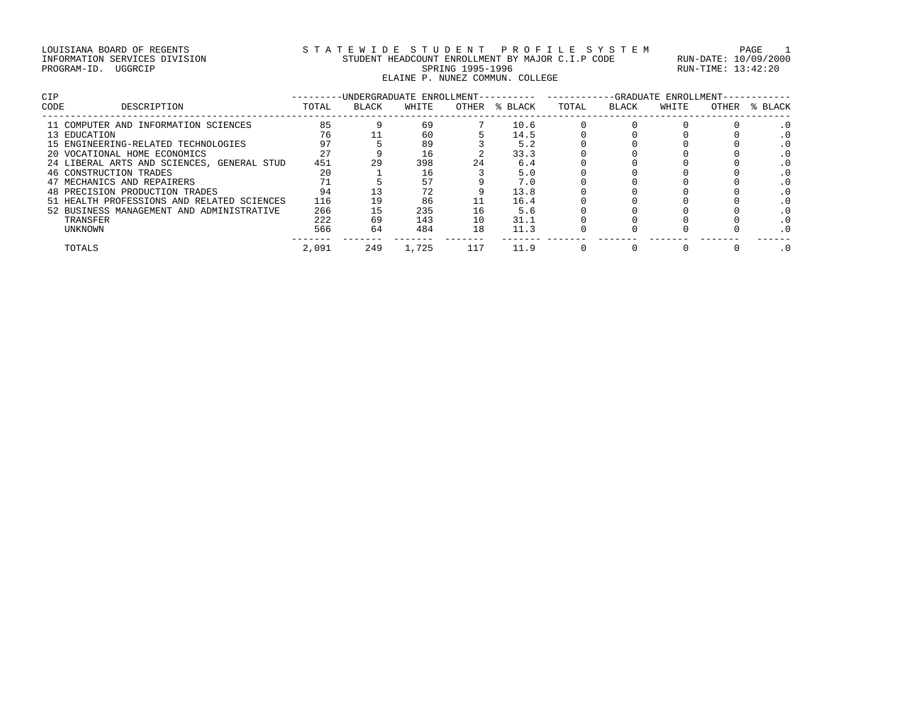# LOUISIANA BOARD OF REGENTS STATEWIDE STUDENT PROFILE SYSTEM PAGE 1 INFORMATION SERVICES DIVISION STUDENT HEADCOUNT ENROLLMENT BY MAJOR C.I.P CODE RUN-DATE: 10/09/2000 PROGRAM-ID. UGGRCIP SPRING 1995-1996 SPRING 1995-1996 RUN-TIME: 13:42:20 ELAINE P. NUNEZ COMMUN. COLLEGE

| <b>CIP</b> |                                            |       | -UNDERGRADUATE ENROLLMENT-- |       |       |         |       |       | -GRADUATE ENROLLMENT- |       |       |
|------------|--------------------------------------------|-------|-----------------------------|-------|-------|---------|-------|-------|-----------------------|-------|-------|
| CODE       | DESCRIPTION                                | TOTAL | BLACK                       | WHITE | OTHER | % BLACK | TOTAL | BLACK | WHITE                 | OTHER | BLACK |
|            | 11 COMPUTER AND INFORMATION SCIENCES       | 85    |                             | 69    |       | 10.6    |       |       |                       |       | . 0   |
|            | 13 EDUCATION                               | 76    |                             | 60    |       | 14.5    |       |       |                       |       |       |
|            | 15 ENGINEERING-RELATED TECHNOLOGIES        | 97    |                             | 89    |       | 5.2     |       |       |                       |       |       |
|            | 20 VOCATIONAL HOME ECONOMICS               | 27    |                             | 16    |       | 33.3    |       |       |                       |       |       |
|            | 24 LIBERAL ARTS AND SCIENCES, GENERAL STUD | 451   | 29                          | 398   | 24    | 6.4     |       |       |                       |       |       |
|            | 46 CONSTRUCTION TRADES                     | 20    |                             | 16    |       | 5.0     |       |       |                       |       |       |
|            | 47 MECHANICS AND REPAIRERS                 |       |                             | 57    |       | 7.0     |       |       |                       |       |       |
|            | 48 PRECISION PRODUCTION TRADES             | 94    |                             | 72    |       | 13.8    |       |       |                       |       |       |
|            | 51 HEALTH PROFESSIONS AND RELATED SCIENCES | 116   | 19                          | 86    |       | 16.4    |       |       |                       |       |       |
|            | 52 BUSINESS MANAGEMENT AND ADMINISTRATIVE  | 266   | 15                          | 235   | 16    | 5.6     |       |       |                       |       |       |
|            | TRANSFER                                   | 222   | 69                          | 143   | 10    | 31.1    |       |       |                       |       |       |
|            | UNKNOWN                                    | 566   | 64                          | 484   | 18    | 11.3    |       |       |                       |       |       |
|            | TOTALS                                     | 2,091 | 249                         | 1,725 |       | 11.9    |       |       |                       |       |       |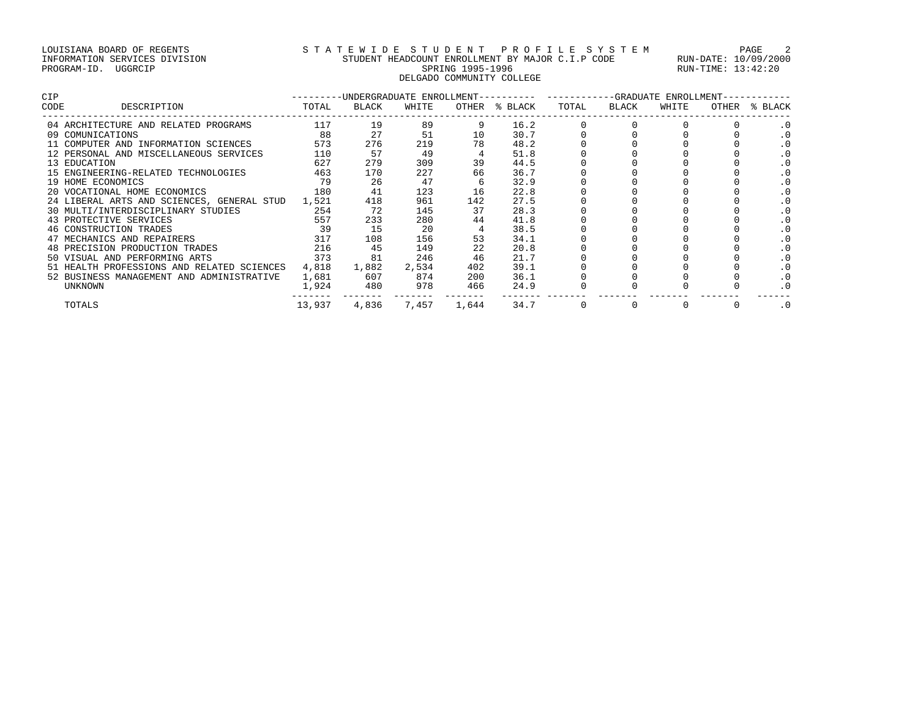# LOUISIANA BOARD OF REGENTS STATEWIDE STUDENT PROFILE SYSTEM PAGE 2 INFORMATION SERVICES DIVISION STUDENT HEADCOUNT ENROLLMENT BY MAJOR C.I.P CODE RUN-DATE: 10/09/2000 PROGRAM-ID. UGGRCIP SPRING 1995-1996 SPRING 1995-1996 RUN-TIME: 13:42:20 DELGADO COMMUNITY COLLEGE

| <b>CIP</b> |                                                  |        |       | ---------UNDERGRADUATE ENROLLMENT-- |       |         | ---GRADUATE ENROLLMENT-<br>--------- --------- |       |       |       |           |
|------------|--------------------------------------------------|--------|-------|-------------------------------------|-------|---------|------------------------------------------------|-------|-------|-------|-----------|
| CODE       | DESCRIPTION                                      | TOTAL  | BLACK | WHITE                               | OTHER | % BLACK | TOTAL                                          | BLACK | WHITE | OTHER | % BLACK   |
|            | 04 ARCHITECTURE AND RELATED PROGRAMS             | 117    | 19    | 89                                  |       | 16.2    |                                                |       |       |       |           |
|            | 09 COMUNICATIONS                                 | 88     | 27    | 51                                  | 10    | 30.7    |                                                |       |       |       |           |
|            | 11 COMPUTER AND INFORMATION SCIENCES             | 573    | 276   | 219                                 | 78    | 48.2    |                                                |       |       |       |           |
|            | 12 PERSONAL AND MISCELLANEOUS SERVICES           | 110    | 57    | 49                                  |       | 51.8    |                                                |       |       |       | $\cdot$ 0 |
|            | 13 EDUCATION                                     | 627    | 279   | 309                                 | 39    | 44.5    |                                                |       |       |       |           |
|            | 15 ENGINEERING-RELATED TECHNOLOGIES              | 463    | 170   | 227                                 | 66    | 36.7    |                                                |       |       |       |           |
|            | 19 HOME ECONOMICS                                | 79     | 26    | 47                                  |       | 32.9    |                                                |       |       |       |           |
|            | 20 VOCATIONAL HOME ECONOMICS                     | 180    | 41    | 123                                 | 16    | 22.8    |                                                |       |       |       |           |
|            | 24 LIBERAL ARTS AND SCIENCES, GENERAL STUD 1,521 |        | 418   | 961                                 | 142   | 27.5    |                                                |       |       |       | $\cdot$ 0 |
|            | 30 MULTI/INTERDISCIPLINARY STUDIES 254           |        | 72    | 145                                 | 37    | 28.3    |                                                |       |       |       |           |
|            | 43 PROTECTIVE SERVICES                           | 557    | 233   | 280                                 | 44    | 41.8    |                                                |       |       |       |           |
|            | 46 CONSTRUCTION TRADES                           | 39     | 15    | 20                                  |       | 38.5    |                                                |       |       |       |           |
|            | 47 MECHANICS AND REPAIRERS                       | 317    | 108   | 156                                 | 53    | 34.1    |                                                |       |       |       |           |
|            | 48 PRECISION PRODUCTION TRADES                   | 216    | 45    | 149                                 | 22    | 20.8    |                                                |       |       |       |           |
|            | 50 VISUAL AND PERFORMING ARTS                    | 373    | 81    | 246                                 | 46    | 21.7    |                                                |       |       |       |           |
|            | 51 HEALTH PROFESSIONS AND RELATED SCIENCES       | 4,818  | 1,882 | 2,534                               | 402   | 39.1    |                                                |       |       |       |           |
|            | 52 BUSINESS MANAGEMENT AND ADMINISTRATIVE        | 1,681  | 607   | 874                                 | 200   | 36.1    |                                                |       |       |       | $\cdot$ 0 |
|            | UNKNOWN                                          | 1,924  | 480   | 978                                 | 466   | 24.9    |                                                |       |       |       |           |
|            | TOTALS                                           | 13,937 | 4,836 | 7,457                               | 1,644 | 34.7    |                                                |       |       |       | $\cdot$ 0 |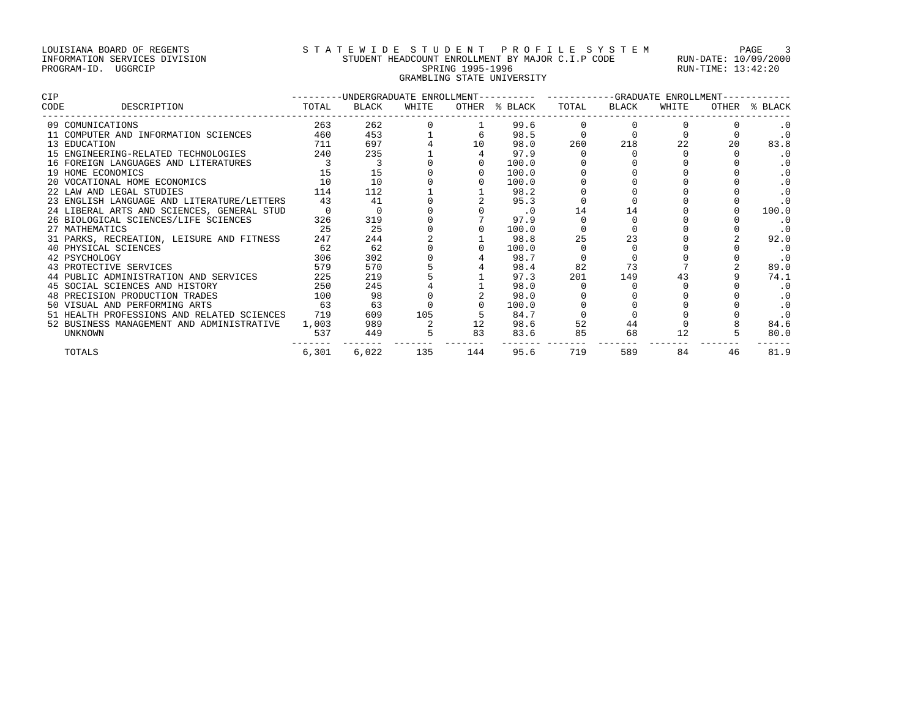# LOUISIANA BOARD OF REGENTS STATEWIDE STUDENT PROFILE SYSTEM PAGE 3 INFORMATION SERVICES DIVISION STUDENT HEADCOUNT ENROLLMENT BY MAJOR C.I.P CODE RUN-DATE: 10/09/2000 PROGRAM-ID. UGGRCIP SPRING 1995-1996 SPRING 1995-1996 RUN-TIME: 13:42:20 GRAMBLING STATE UNIVERSITY

| <b>CIP</b> |                                            | ---------UNDERGRADUATE ENROLLMENT---------- ----------GRADUATE ENROLLMENT- |       |       |     |               |       |       |       |    |               |  |
|------------|--------------------------------------------|----------------------------------------------------------------------------|-------|-------|-----|---------------|-------|-------|-------|----|---------------|--|
| CODE       | DESCRIPTION                                | TOTAL                                                                      | BLACK | WHITE |     | OTHER % BLACK | TOTAL | BLACK | WHITE |    | OTHER % BLACK |  |
|            | 09 COMUNICATIONS                           | 263                                                                        | 262   |       |     | 99.6          |       |       |       |    |               |  |
|            | 11 COMPUTER AND INFORMATION SCIENCES       | 460                                                                        | 453   |       |     | 98.5          |       |       |       |    | $\cdot$ 0     |  |
|            | 13 EDUCATION                               | 711                                                                        | 697   |       | 10  | 98.0          | 260   | 218   | 22    | 20 | 83.8          |  |
|            | 15 ENGINEERING-RELATED TECHNOLOGIES        | 240                                                                        | 235   |       |     | 97.9          |       |       |       |    | $\cdot$ 0     |  |
|            | 16 FOREIGN LANGUAGES AND LITERATURES       |                                                                            |       |       |     | 100.0         |       |       |       |    | $\cdot$ 0     |  |
|            | 19 HOME ECONOMICS                          | 15                                                                         | 15    |       |     | 100.0         |       |       |       |    |               |  |
|            | 20 VOCATIONAL HOME ECONOMICS               | 10                                                                         | 10    |       |     | 100.0         |       |       |       |    |               |  |
|            | 22 LAW AND LEGAL STUDIES                   | 114                                                                        | 112   |       |     | 98.2          |       |       |       |    | $\cdot$ 0     |  |
|            | 23 ENGLISH LANGUAGE AND LITERATURE/LETTERS | 43                                                                         | 41    |       |     | 95.3          |       |       |       |    |               |  |
|            | 24 LIBERAL ARTS AND SCIENCES, GENERAL STUD |                                                                            |       |       |     | $\cdot$ 0     | 14    | 14    |       |    | 100.0         |  |
|            | 26 BIOLOGICAL SCIENCES/LIFE SCIENCES       | 326                                                                        | 319   |       |     | 97.9          |       |       |       |    | $\cdot$ 0     |  |
|            | 27 MATHEMATICS                             | 25                                                                         | 25    |       |     | 100.0         |       |       |       |    |               |  |
|            | 31 PARKS, RECREATION, LEISURE AND FITNESS  | 247                                                                        | 244   |       |     | 98.8          | 25    | 23    |       |    | 92.0          |  |
|            | 40 PHYSICAL SCIENCES                       | 62                                                                         | 62    |       |     | 100.0         |       |       |       |    | $\cdot$ 0     |  |
|            | 42 PSYCHOLOGY                              | 306                                                                        | 302   |       |     | 98.7          |       |       |       |    | $\cdot$ 0     |  |
|            | 43 PROTECTIVE SERVICES                     | 579                                                                        | 570   |       |     | 98.4          | 82    | 73    |       |    | 89.0          |  |
|            | 44 PUBLIC ADMINISTRATION AND SERVICES      | 225                                                                        | 219   |       |     | 97.3          | 201   | 149   |       |    | 74.1          |  |
|            | 45 SOCIAL SCIENCES AND HISTORY             | 250                                                                        | 245   |       |     | 98.0          |       |       |       |    |               |  |
|            | 48 PRECISION PRODUCTION TRADES             | 100                                                                        | 98    |       |     | 98.0          |       |       |       |    | $\cdot$ 0     |  |
|            | 50 VISUAL AND PERFORMING ARTS              | 63                                                                         | 63    |       |     | 100.0         |       |       |       |    |               |  |
|            | 51 HEALTH PROFESSIONS AND RELATED SCIENCES | 719                                                                        | 609   | 105   |     | 84.7          |       |       |       |    | $\cdot$ 0     |  |
|            | 52 BUSINESS MANAGEMENT AND ADMINISTRATIVE  | 1,003                                                                      | 989   |       |     | 98.6          | 52    | 44    |       |    | 84.6          |  |
|            | <b>UNKNOWN</b>                             | 537                                                                        | 449   |       | 83  | 83.6          | 85    | 68    | 12    |    | 80.0          |  |
|            | TOTALS                                     | 6,301                                                                      | 6,022 | 135   | 144 | 95.6          | 719   | 589   | 84    | 46 | 81.9          |  |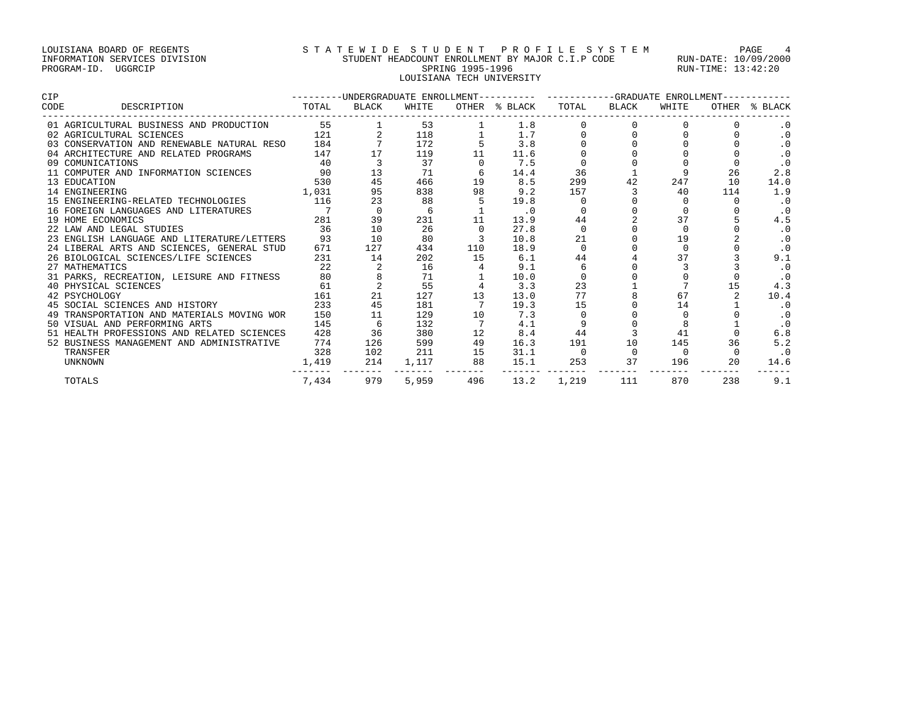# LOUISIANA BOARD OF REGENTS STATEWIDE STUDENT PROFILE SYSTEM PAGE 4 INFORMATION SERVICES DIVISION STUDENT HEADCOUNT ENROLLMENT BY MAJOR C.I.P CODE RUN-DATE: 10/09/2000 PROGRAM-ID. UGGRCIP SPRING 1995-1996 SPRING 1995-1996 RUN-TIME: 13:42:20 LOUISIANA TECH UNIVERSITY

| <b>CIP</b> |                                            | -UNDERGRADUATE ENROLLMENT----------<br>$- - - - - - - -$ |              |       |     | ---GRADUATE ENROLLMENT- |       |              |       |       |           |
|------------|--------------------------------------------|----------------------------------------------------------|--------------|-------|-----|-------------------------|-------|--------------|-------|-------|-----------|
| CODE       | DESCRIPTION                                | TOTAL                                                    | <b>BLACK</b> | WHITE |     | OTHER % BLACK           | TOTAL | <b>BLACK</b> | WHITE | OTHER | % BLACK   |
|            | 01 AGRICULTURAL BUSINESS AND PRODUCTION    | 55                                                       |              | 53    |     | 1.8                     |       |              |       |       |           |
|            | 02 AGRICULTURAL SCIENCES                   | 121                                                      |              | 118   |     | 1.7                     |       |              |       |       | $\cdot$ 0 |
|            | 03 CONSERVATION AND RENEWABLE NATURAL RESO | 184                                                      |              | 172   |     | 3.8                     |       |              |       |       | $\cdot$ 0 |
|            | 04 ARCHITECTURE AND RELATED PROGRAMS       | 147                                                      |              | 119   |     | 11.6                    |       |              |       |       | $\cdot$ 0 |
|            | 09 COMUNICATIONS                           | 40                                                       |              | 37    |     | 7.5                     |       |              |       |       | $\cdot$ 0 |
|            | 11 COMPUTER AND INFORMATION SCIENCES       | 90                                                       | 13           | 71    |     | 14.4                    | 36    |              |       | 26    | 2.8       |
|            | 13 EDUCATION                               | 530                                                      | 45           | 466   | 19  | 8.5                     | 299   | 42           | 247   | 10    | 14.0      |
|            | 14 ENGINEERING                             | 1,031                                                    | 95           | 838   | 98  | 9.2                     | 157   |              | 40    | 114   | 1.9       |
|            | 15 ENGINEERING-RELATED TECHNOLOGIES        | 116                                                      | 23           | 88    |     | 19.8                    |       |              |       |       | $\cdot$ 0 |
|            | 16 FOREIGN LANGUAGES AND LITERATURES       |                                                          | $\Omega$     | 6     |     | $\cdot$ 0               |       |              |       |       | .0        |
|            | 19 HOME ECONOMICS                          | 281                                                      | 39           | 231   |     | 13.9                    | 44    |              | 37    |       | 4.5       |
|            | 22 LAW AND LEGAL STUDIES                   | 36                                                       | 10           | 26    |     | 27.8                    |       |              |       |       | $\cdot$ 0 |
|            | 23 ENGLISH LANGUAGE AND LITERATURE/LETTERS | 93                                                       | 10           | 80    |     | 10.8                    | 21    |              | 19    |       | $\cdot$ 0 |
|            | 24 LIBERAL ARTS AND SCIENCES, GENERAL STUD | 671                                                      | 127          | 434   | 110 | 18.9                    |       |              |       |       |           |
|            | 26 BIOLOGICAL SCIENCES/LIFE SCIENCES       | 231                                                      | 14           | 202   | 15  | 6.1                     | 44    |              | 37    |       | 9.1       |
|            | 27 MATHEMATICS                             | 22                                                       |              | 16    |     | 9.1                     |       |              |       |       | $\cdot$ 0 |
|            | 31 PARKS, RECREATION, LEISURE AND FITNESS  | 80                                                       |              | 71    |     | 10.0                    |       |              |       |       | $\cdot$ 0 |
|            | 40 PHYSICAL SCIENCES                       | 61                                                       |              | 55    |     | 3.3                     | 23    |              |       | 15    | 4.3       |
|            | 42 PSYCHOLOGY                              | 161                                                      | 21           | 127   | 13  | 13.0                    | 77    |              | 67    |       | 10.4      |
|            | 45 SOCIAL SCIENCES AND HISTORY             | 233                                                      | 45           | 181   |     | 19.3                    | 15    |              | 14    |       | $\cdot$ 0 |
|            | TRANSPORTATION AND MATERIALS MOVING WOR    | 150                                                      |              | 129   | 10  | 7.3                     |       |              |       |       | $\cdot$ 0 |
|            | 50 VISUAL AND PERFORMING ARTS              | 145                                                      |              | 132   |     | 4.1                     |       |              |       |       | $\cdot$ 0 |
|            | 51 HEALTH PROFESSIONS AND RELATED SCIENCES | 428                                                      | 36           | 380   | 12  | 8.4                     | 44    |              | 41    |       | 6.8       |
|            | 52 BUSINESS MANAGEMENT AND ADMINISTRATIVE  | 774                                                      | 126          | 599   | 49  | 16.3                    | 191   | 10           | 145   | 36    | 5.2       |
|            | TRANSFER                                   | 328                                                      | 102          | 211   | 15  | 31.1                    |       |              |       |       | $\cdot$ 0 |
|            | UNKNOWN                                    | 1,419                                                    | 214          | 1,117 | 88  | 15.1                    | 253   | 37           | 196   | 20    | 14.6      |
|            | TOTALS                                     | 7,434                                                    | 979          | 5,959 | 496 | 13.2                    | 1,219 | 111          | 870   | 238   | 9.1       |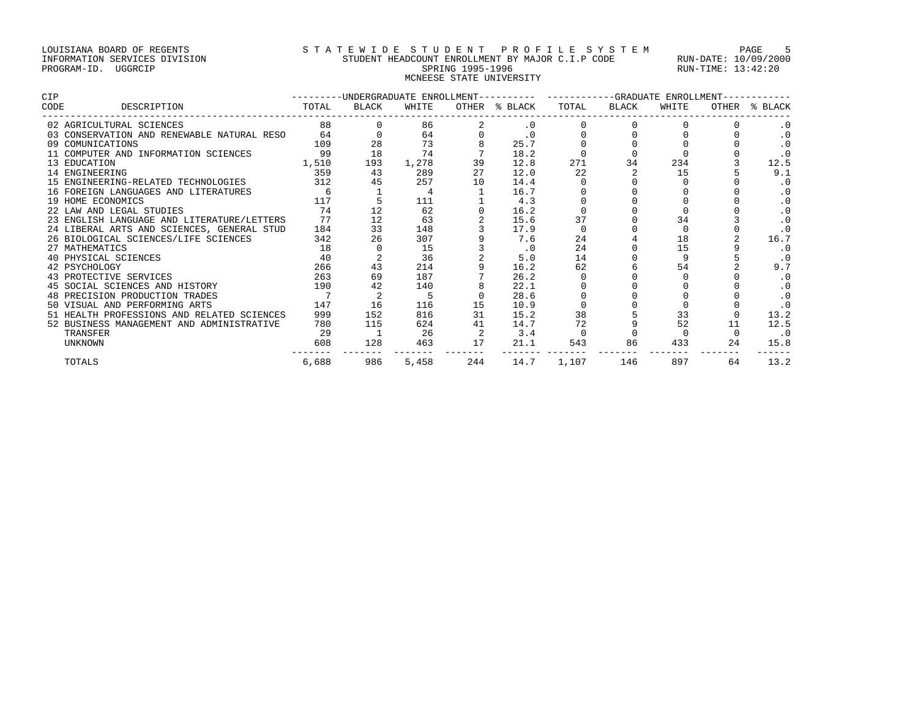# LOUISIANA BOARD OF REGENTS STRTEWIDE STUDENT PROFILE SYSTEM PAGE 5 INFORMATION SERVICES DIVISION STUDENT HEADCOUNT ENROLLMENT BY MAJOR C.I.P CODE RUN-DATE: 10/09/2000 PROGRAM-ID. UGGRCIP SPRING 1995-1996 SPRING 1995-1996 RUN-TIME: 13:42:20 MCNEESE STATE UNIVERSITY

| CIP  |                                            | ---------UNDERGRADUATE ENROLLMENT---------- |       |       |       |           | -----------GRADUATE ENROLLMENT-- |       |       |    |               |
|------|--------------------------------------------|---------------------------------------------|-------|-------|-------|-----------|----------------------------------|-------|-------|----|---------------|
| CODE | DESCRIPTION                                | TOTAL                                       | BLACK | WHITE | OTHER | % BLACK   | TOTAL                            | BLACK | WHITE |    | OTHER % BLACK |
|      | 02 AGRICULTURAL SCIENCES                   | 88                                          |       | 86    |       | $\cdot$ 0 |                                  |       |       |    |               |
|      | 03 CONSERVATION AND RENEWABLE NATURAL RESO | 64                                          |       | 64    |       | $\cdot$ 0 |                                  |       |       |    | $\cdot$ 0     |
|      | 09 COMUNICATIONS                           | 109                                         | 28    | 73    |       | 25.7      |                                  |       |       |    | .0            |
|      | 11 COMPUTER AND INFORMATION SCIENCES       | 99                                          | 18    | 74    |       | 18.2      |                                  |       |       |    | $\cdot$ 0     |
|      | 13 EDUCATION                               | 1,510                                       | 193   | 1,278 | 39    | 12.8      | 271                              | 34    | 234   |    | 12.5          |
|      | 14 ENGINEERING                             | 359                                         | 43    | 289   | 27    | 12.0      | 22                               |       | 15    |    | 9.1           |
|      | 15 ENGINEERING-RELATED TECHNOLOGIES        | 312                                         | 45    | 257   | 10    | 14.4      |                                  |       |       |    | $\cdot$ 0     |
|      | 16 FOREIGN LANGUAGES AND LITERATURES       | 6                                           |       |       |       | 16.7      |                                  |       |       |    | $\cdot$ 0     |
|      | 19 HOME ECONOMICS                          | 117                                         |       | 111   |       | 4.3       |                                  |       |       |    | $\cdot$ 0     |
|      | 22 LAW AND LEGAL STUDIES                   | 74                                          |       | 62    |       | 16.2      |                                  |       |       |    | $\cdot$ 0     |
|      | 23 ENGLISH LANGUAGE AND LITERATURE/LETTERS | 77                                          | 12    | 63    |       | 15.6      | 37                               |       | 34    |    | $\cdot$ 0     |
|      | 24 LIBERAL ARTS AND SCIENCES, GENERAL STUD | 184                                         | 33    | 148   |       | 17.9      |                                  |       |       |    | $\cdot$ 0     |
|      | 26 BIOLOGICAL SCIENCES/LIFE SCIENCES       | 342                                         | 26    | 307   |       | 7.6       | 24                               |       | 18    |    | 16.7          |
|      | 27 MATHEMATICS                             | 18                                          |       | 15    |       | $\cdot$ 0 | 24                               |       | 15    |    | $\cdot$ 0     |
|      | 40 PHYSICAL SCIENCES                       | 40                                          |       | 36    |       | 5.0       | 14                               |       |       |    | $\cdot$ 0     |
|      | 42 PSYCHOLOGY                              | 266                                         | 43    | 214   |       | 16.2      | 62                               |       | 54    |    | 9.7           |
|      | 43 PROTECTIVE SERVICES                     | 263                                         | 69    | 187   |       | 26.2      |                                  |       |       |    | $\cdot$ 0     |
|      | 45 SOCIAL SCIENCES AND HISTORY             | 190                                         | 42    | 140   |       | 22.1      |                                  |       |       |    | $\cdot$ 0     |
|      | 48 PRECISION PRODUCTION TRADES             |                                             | 2     | 5     |       | 28.6      |                                  |       |       |    | $\cdot$ 0     |
|      | 50 VISUAL AND PERFORMING ARTS              | 147                                         | 16    | 116   | 15    | 10.9      |                                  |       |       |    |               |
|      | 51 HEALTH PROFESSIONS AND RELATED SCIENCES | 999                                         | 152   | 816   | 31    | 15.2      | 38                               |       | 33    |    | 13.2          |
|      | 52 BUSINESS MANAGEMENT AND ADMINISTRATIVE  | 780                                         | 115   | 624   | 41    | 14.7      | 72                               |       | 52    | 11 | 12.5          |
|      | TRANSFER                                   | 29                                          |       | 26    |       | 3.4       |                                  |       |       |    | $\cdot$ 0     |
|      | UNKNOWN                                    | 608                                         | 128   | 463   | 17    | 21.1      | 543                              | 86    | 433   | 24 | 15.8          |
|      | TOTALS                                     | 6,688                                       | 986   | 5,458 | 244   | 14.7      | 1,107                            | 146   | 897   | 64 | 13.2          |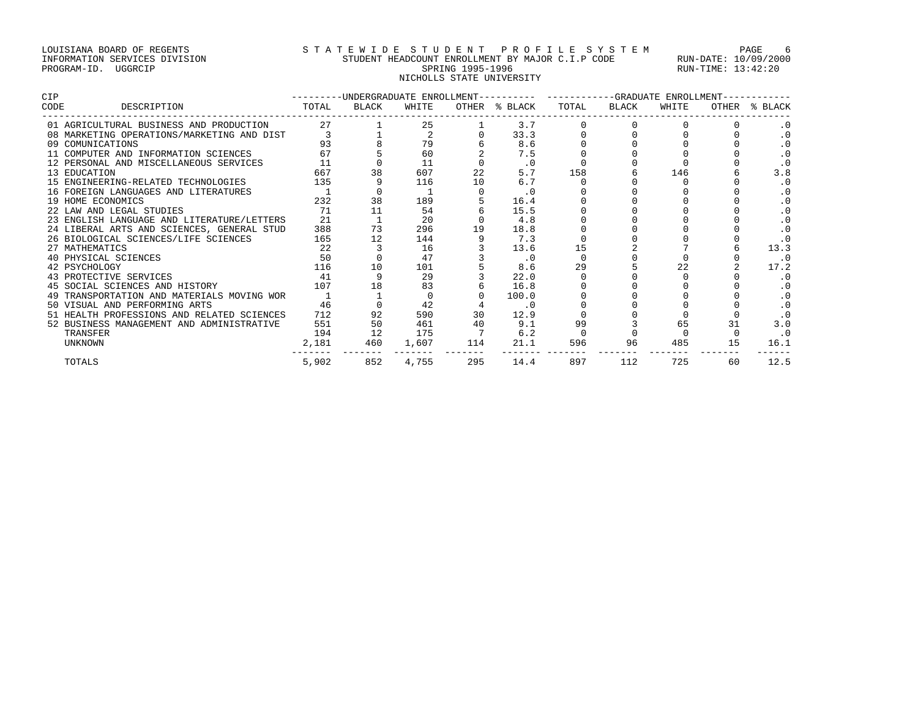# LOUISIANA BOARD OF REGENTS STATEWIDE STUDENT PROFILE SYSTEM PAGE 6 INFORMATION SERVICES DIVISION STUDENT HEADCOUNT ENROLLMENT BY MAJOR C.I.P CODE RUN-DATE: 10/09/2000 PROGRAM-ID. UGGRCIP SPRING 1995-1996 SPRING 1995-1996 RUN-TIME: 13:42:20 NICHOLLS STATE UNIVERSITY

| <b>CIP</b>                                 | -UNDERGRADUATE ENROLLMENT----------<br>-------- |              |       |     |               | ---GRADUATE ENROLLMENT |              |       |       |           |
|--------------------------------------------|-------------------------------------------------|--------------|-------|-----|---------------|------------------------|--------------|-------|-------|-----------|
| CODE<br>DESCRIPTION                        | TOTAL                                           | <b>BLACK</b> | WHITE |     | OTHER % BLACK | TOTAL                  | <b>BLACK</b> | WHITE | OTHER | % BLACK   |
| 01 AGRICULTURAL BUSINESS AND PRODUCTION    | 27                                              |              | 25    |     | 3.7           |                        |              |       |       |           |
| 08 MARKETING OPERATIONS/MARKETING AND DIST |                                                 |              |       |     | 33.3          |                        |              |       |       | $\cdot$ 0 |
| 09 COMUNICATIONS                           | 93                                              |              | 79    |     | 8.6           |                        |              |       |       | $\cdot$ 0 |
| 11 COMPUTER AND INFORMATION SCIENCES       | 67                                              |              | 60    |     | 7.5           |                        |              |       |       | $\cdot$ 0 |
| 12 PERSONAL AND MISCELLANEOUS SERVICES     | 11                                              |              | 11    |     | $\cdot$ 0     |                        |              |       |       | $\cdot$ 0 |
| 13 EDUCATION                               | 667                                             |              | 607   | 22  | 5.7           | 158                    |              | 146   |       | 3.8       |
| 15 ENGINEERING-RELATED TECHNOLOGIES        | 135                                             |              | 116   | 10  | 6.7           |                        |              |       |       | $\cdot$ 0 |
| 16 FOREIGN LANGUAGES AND LITERATURES       |                                                 |              |       |     | $\cdot$ 0     |                        |              |       |       |           |
| 19 HOME ECONOMICS                          | 232                                             | 38           | 189   |     | 16.4          |                        |              |       |       | $\cdot$ 0 |
| 22 LAW AND LEGAL STUDIES                   | 71                                              | 11           | 54    |     | 15.5          |                        |              |       |       |           |
| 23 ENGLISH LANGUAGE AND LITERATURE/LETTERS | 21                                              |              | 20    |     | 4.8           |                        |              |       |       | $\cdot$ 0 |
| 24 LIBERAL ARTS AND SCIENCES, GENERAL STUD | 388                                             | 73           | 296   | 19  | 18.8          |                        |              |       |       |           |
| 26 BIOLOGICAL SCIENCES/LIFE SCIENCES       | 165                                             |              | 144   |     | 7.3           |                        |              |       |       |           |
| 27 MATHEMATICS                             | 22                                              |              | 16    |     | 13.6          | 15                     |              |       |       | 13.3      |
| 40 PHYSICAL SCIENCES                       | 50                                              |              | 47    |     | $\cdot$ 0     |                        |              |       |       | $\cdot$ 0 |
| 42 PSYCHOLOGY                              | 116                                             | 10           | 101   |     | 8.6           | 29                     |              |       |       | 17.2      |
| 43 PROTECTIVE SERVICES                     | 41                                              |              | 29    |     | 22.0          |                        |              |       |       |           |
| 45 SOCIAL SCIENCES AND HISTORY             | 107                                             | 18           | 83    |     | 16.8          |                        |              |       |       |           |
| 49 TRANSPORTATION AND MATERIALS MOVING WOR |                                                 |              |       |     | 100.0         |                        |              |       |       |           |
| 50 VISUAL AND PERFORMING ARTS              | 46                                              |              | 42    |     | $\cdot$ 0     |                        |              |       |       | $\cdot$ 0 |
| 51 HEALTH PROFESSIONS AND RELATED SCIENCES | 712                                             | 92           | 590   | 30  | 12.9          |                        |              |       |       |           |
| 52 BUSINESS MANAGEMENT AND ADMINISTRATIVE  | 551                                             | 50           | 461   | 40  | 9.1           | 99                     |              | 65    | 31    | 3.0       |
| TRANSFER                                   | 194                                             | 12           | 175   |     | 6.2           |                        |              |       |       | $\cdot$ 0 |
| <b>UNKNOWN</b>                             | 2,181                                           | 460          | 1,607 | 114 | 21.1          | 596                    | 96           | 485   | 15    | 16.1      |
| TOTALS                                     | 5,902                                           | 852          | 4,755 | 295 | 14.4          | 897                    | 112          | 725   | 60    | 12.5      |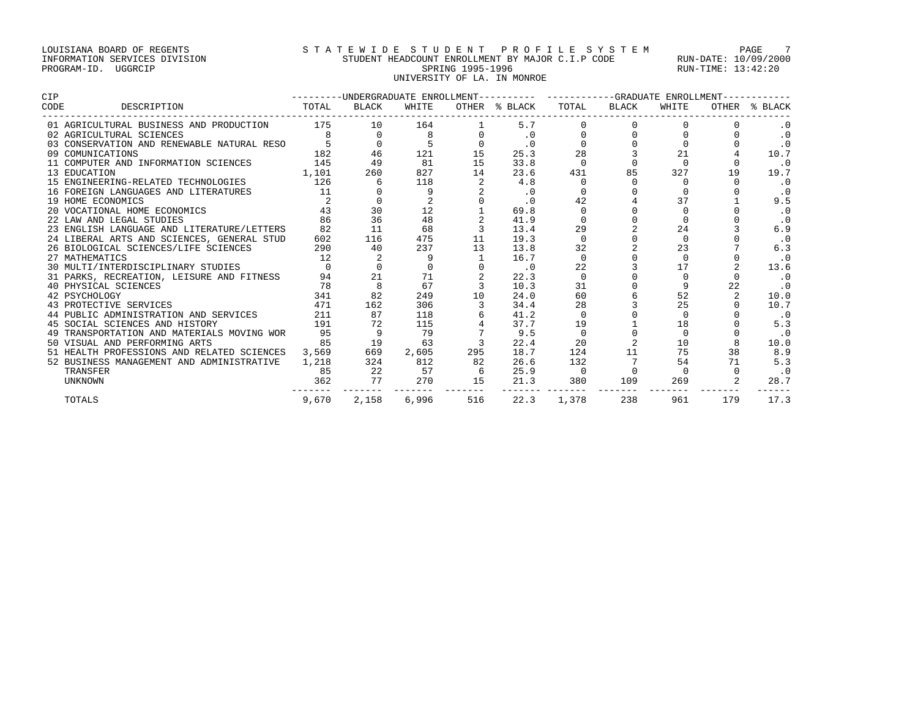# LOUISIANA BOARD OF REGENTS STATEWIDE STUDENT PROFILE SYSTEM PAGE 7 INFORMATION SERVICES DIVISION STUDENT HEADCOUNT ENROLLMENT BY MAJOR C.I.P CODE RUN-DATE: 10/09/2000 PROGRAM-ID. UGGRCIP SPRING 1995-1996 SPRING 1995-1996 RUN-TIME: 13:42:20 UNIVERSITY OF LA. IN MONROE

| CIP                                           | ---------UNDERGRADUATE ENROLLMENT---------- ----------GRADUATE ENROLLMENT------ |          |       |                |                           |          |          |          |     |               |
|-----------------------------------------------|---------------------------------------------------------------------------------|----------|-------|----------------|---------------------------|----------|----------|----------|-----|---------------|
| <b>TOTAL</b><br>CODE<br>DESCRIPTION           |                                                                                 | BLACK    | WHITE |                | OTHER % BLACK TOTAL BLACK |          |          | WHITE    |     | OTHER % BLACK |
| 01 AGRICULTURAL BUSINESS AND PRODUCTION 175   |                                                                                 | 10       | 164   |                | 5.7                       |          |          |          |     |               |
| 02 AGRICULTURAL SCIENCES                      |                                                                                 | $\Omega$ |       |                | $\cdot$ 0                 |          |          |          |     | $\cdot$ 0     |
| 03 CONSERVATION AND RENEWABLE NATURAL RESO    |                                                                                 |          |       |                | $\cdot$ 0                 |          |          |          |     | $\cdot$ 0     |
| 09 COMUNICATIONS                              | 182                                                                             | 46       | 121   | 15             | 25.3                      | 28       |          | 21       |     | 10.7          |
| 11 COMPUTER AND INFORMATION SCIENCES          | 145                                                                             | 49       | 81    | 15             | 33.8                      | $\Omega$ | $\Omega$ | $\Omega$ |     | . 0           |
| 13 EDUCATION                                  | 1,101                                                                           | 260      | 827   | 14             | 23.6                      | 431      | 85       | 327      | 19  | 19.7          |
| 15 ENGINEERING-RELATED TECHNOLOGIES 126       |                                                                                 |          | 118   |                | 4.8                       |          |          |          |     | $\cdot$ 0     |
| 16 FOREIGN LANGUAGES AND LITERATURES          | 11                                                                              |          | 9     |                | $\cdot$ 0                 |          |          |          |     | $\cdot$ 0     |
| 19 HOME ECONOMICS                             |                                                                                 |          |       |                | $\cdot$ 0                 |          |          | 37       |     | 9.5           |
| 20 VOCATIONAL HOME ECONOMICS                  | 43                                                                              | 30       | 12    |                | 69.8                      |          |          |          |     | $\cdot$ 0     |
| 22 LAW AND LEGAL STUDIES                      | 86                                                                              | 36       | 48    |                | 41.9                      |          |          |          |     | $\cdot$ 0     |
| 23 ENGLISH LANGUAGE AND LITERATURE/LETTERS    | 82                                                                              | 11       | 68    |                | 13.4                      | 29       |          | 24       |     | 6.9           |
| 24 LIBERAL ARTS AND SCIENCES, GENERAL STUD    | 602                                                                             | 116      | 475   | 11             | 19.3                      | $\Omega$ |          | $\Omega$ |     | .0            |
| 26 BIOLOGICAL SCIENCES/LIFE SCIENCES          | 290                                                                             | 40       | 237   | 13             | 13.8                      | 32       |          | 23       |     | 6.3           |
| 27 MATHEMATICS                                | 12                                                                              |          | 9     |                | 16.7                      | $\Omega$ |          |          |     | $\cdot$ 0     |
| 30 MULTI/INTERDISCIPLINARY STUDIES            | $\overline{0}$                                                                  |          |       |                | $\cdot$ 0                 | 22       |          | 17       |     | 13.6          |
| 31 PARKS, RECREATION, LEISURE AND FITNESS     | 94                                                                              | 21       | 71    |                | 22.3                      | $\Omega$ |          |          |     | .0            |
| 40 PHYSICAL SCIENCES                          | 78                                                                              |          | 67    |                | 10.3                      | 31       |          |          | 22  | $\cdot$ 0     |
| 42 PSYCHOLOGY                                 | 341                                                                             | 82       | 249   | 10             | 24.0                      | 60       |          | 52       |     | 10.0          |
| 43 PROTECTIVE SERVICES                        | 471                                                                             | 162      | 306   |                | 34.4                      | 28       |          | 25       |     | 10.7          |
| 44 PUBLIC ADMINISTRATION AND SERVICES         | 211                                                                             | 87       | 118   |                | 41.2                      | $\Omega$ |          | $\Omega$ |     | $\cdot$ 0     |
| 45 SOCIAL SCIENCES AND HISTORY                | 191                                                                             | 72       | 115   |                | 37.7                      | 19       |          | 18       |     | 5.3           |
| 49 TRANSPORTATION AND MATERIALS MOVING WOR 95 |                                                                                 |          | 79    |                | 9.5                       | $\Omega$ |          |          |     | $\cdot$ 0     |
| 50 VISUAL AND PERFORMING ARTS                 | 85                                                                              | 19       | 63    | $\overline{3}$ | 22.4                      | 20       |          | 10       |     | 10.0          |
| 51 HEALTH PROFESSIONS AND RELATED SCIENCES    | 3,569                                                                           | 669      | 2,605 | 295            | 18.7                      | 124      | 11       | 75       | 38  | 8.9           |
| 52 BUSINESS MANAGEMENT AND ADMINISTRATIVE     | 1,218                                                                           | 324      | 812   | 82             | 26.6                      | 132      |          | 54       | 71  | 5.3           |
| TRANSFER                                      | 85                                                                              | 22       | 57    | $6^{\circ}$    | 25.9                      | - 0      | $\Omega$ |          |     | $\cdot$ 0     |
| UNKNOWN                                       | 362                                                                             | 77       | 270   | 15             | 21.3                      | 380      | 109      | 269      |     | 28.7          |
| TOTALS                                        | 9,670                                                                           | 2,158    | 6,996 | 516            | 22.3                      | 1,378    | 238      | 961      | 179 | 17.3          |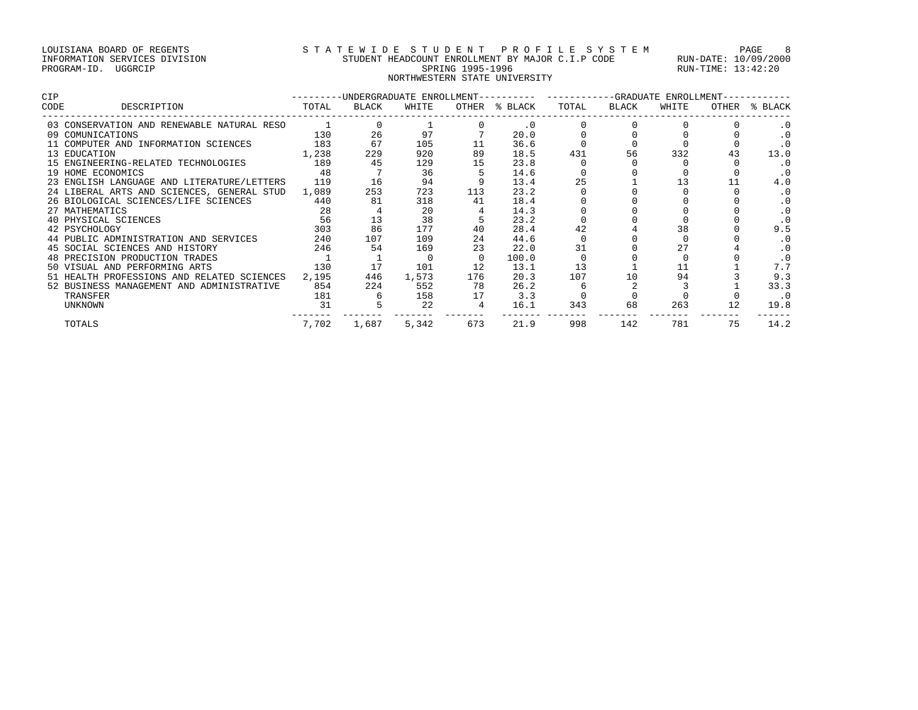# LOUISIANA BOARD OF REGENTS STATEWIDE STUDENT PROFILE SYSTEM PAGE 8 INFORMATION SERVICES DIVISION STUDENT HEADCOUNT ENROLLMENT BY MAJOR C.I.P CODE RUN-DATE: 10/09/2000 PROGRAM-ID. UGGRCIP SPRING 1995-1996 SPRING 1995-1996 RUN-TIME: 13:42:20 NORTHWESTERN STATE UNIVERSITY

| <b>CIP</b>                                       | ---------UNDERGRADUATE ENROLLMENT---------- ----------GRADUATE ENROLLMENT------ |       |       |                |               |       |       |       |    |               |
|--------------------------------------------------|---------------------------------------------------------------------------------|-------|-------|----------------|---------------|-------|-------|-------|----|---------------|
| DESCRIPTION<br>CODE                              | TOTAL                                                                           | BLACK | WHITE |                | OTHER % BLACK | TOTAL | BLACK | WHITE |    | OTHER % BLACK |
| 03 CONSERVATION AND RENEWABLE NATURAL RESO       |                                                                                 |       |       |                | $\cdot$ 0     |       |       |       |    |               |
| 09 COMUNICATIONS                                 | 130                                                                             | 26    | 97    |                | 20.0          |       |       |       |    | $\cdot$ 0     |
| 11 COMPUTER AND INFORMATION SCIENCES             | 183                                                                             | 67    | 105   | 11             | 36.6          |       |       |       |    | $\cdot$ 0     |
| 13 EDUCATION                                     | 1,238                                                                           | 229   | 920   | 89             | 18.5          | 431   | 56    | 332   | 43 | 13.0          |
| 15 ENGINEERING-RELATED TECHNOLOGIES              | 189                                                                             | 45    | 129   | 15             | 23.8          |       |       |       |    | $\cdot$ 0     |
| 19 HOME ECONOMICS                                | 48                                                                              |       | 36    |                | 14.6          |       |       |       |    | $\cdot$ 0     |
| 23 ENGLISH LANGUAGE AND LITERATURE/LETTERS 119   |                                                                                 | 16    | 94    |                | 13.4          | 25    |       |       |    | 4.0           |
| 24 LIBERAL ARTS AND SCIENCES, GENERAL STUD 1,089 |                                                                                 | 253   | 723   | 113            | 23.2          |       |       |       |    | $\cdot$ 0     |
| 26 BIOLOGICAL SCIENCES/LIFE SCIENCES             | 440                                                                             | 81    | 318   | 41             | 18.4          |       |       |       |    | $\cdot$ 0     |
| 27 MATHEMATICS                                   | 28                                                                              |       | 20    |                | 14.3          |       |       |       |    | $\cdot$ 0     |
| 40 PHYSICAL SCIENCES                             | 56                                                                              | 13    | 38    |                | 23.2          |       |       |       |    | $\cdot$ 0     |
| 42 PSYCHOLOGY                                    | 303                                                                             | 86    | 177   | 40             | 28.4          |       |       | 38    |    | 9.5           |
| 44 PUBLIC ADMINISTRATION AND SERVICES            | 240                                                                             | 107   | 109   | 24             | 44.6          |       |       |       |    | $\cdot$ 0     |
| 45 SOCIAL SCIENCES AND HISTORY                   | 246                                                                             | 54    | 169   | 23             | 22.0          | 31    |       | 27    |    | $\cdot$ 0     |
| 48 PRECISION PRODUCTION TRADES                   |                                                                                 |       |       | $\Omega$       | 100.0         |       |       |       |    |               |
| 50 VISUAL AND PERFORMING ARTS                    | 130                                                                             | 17    | 101   | 12             | 13.1          | 13    |       |       |    | 7.7           |
| 51 HEALTH PROFESSIONS AND RELATED SCIENCES       | 2,195                                                                           | 446   | 1,573 | 176            | 20.3          | 107   | 10    | 94    |    | 9.3           |
| 52 BUSINESS MANAGEMENT AND ADMINISTRATIVE        | 854                                                                             | 224   | 552   | 78             | 26.2          |       |       |       |    | 33.3          |
| TRANSFER                                         | 181                                                                             |       | 158   | 17             | 3.3           |       |       |       |    | . 0           |
| <b>UNKNOWN</b>                                   | 31                                                                              |       | 22    | $\overline{4}$ | 16.1          | 343   | 68    | 263   |    | 19.8          |
| TOTALS                                           | 7,702                                                                           | 1,687 | 5,342 | 673            | 21.9          | 998   | 142   | 781   | 75 | 14.2          |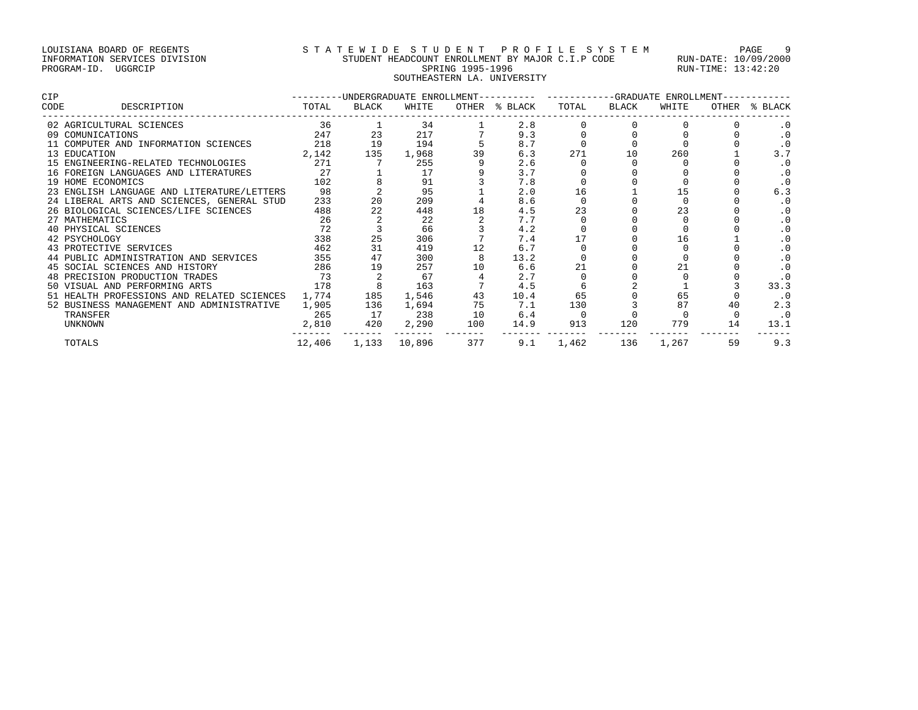# LOUISIANA BOARD OF REGENTS S T A T E W I D E S T U D E N T P R O F I L E S Y S T E M PAGE 9 INFORMATION SERVICES DIVISION STUDENT HEADCOUNT ENROLLMENT BY MAJOR C.I.P CODE RUN-DATE: 10/09/2000 PROGRAM-ID. UGGRCIP SPRING 1995-1996 SPRING 1995-1996 RUN-TIME: 13:42:20 SOUTHEASTERN LA. UNIVERSITY

| CIP                                        |        |       |        |     | ---------UNDERGRADUATE ENROLLMENT---------- ----------GRADUATE ENROLLMENT-- |       |       |       |    |               |
|--------------------------------------------|--------|-------|--------|-----|-----------------------------------------------------------------------------|-------|-------|-------|----|---------------|
| CODE<br>DESCRIPTION                        | TOTAL  | BLACK | WHITE  |     | OTHER % BLACK                                                               | TOTAL | BLACK | WHITE |    | OTHER % BLACK |
| 02 AGRICULTURAL SCIENCES                   | 36     |       | 34     |     | 2.8                                                                         |       |       |       |    |               |
| 09 COMUNICATIONS                           | 247    | 23    | 217    |     | 9.3                                                                         |       |       |       |    | $\cdot$ 0     |
| 11 COMPUTER AND INFORMATION SCIENCES       | 218    | 19    | 194    |     | 8.7                                                                         |       |       |       |    | $\cdot$ 0     |
| 13 EDUCATION                               | 2,142  | 135   | 1,968  | 39  | 6.3                                                                         | 271   | 10    | 260   |    | 3.7           |
| 15 ENGINEERING-RELATED TECHNOLOGIES        | 271    |       | 255    |     | 2.6                                                                         |       |       |       |    | $\cdot$ 0     |
| 16 FOREIGN LANGUAGES AND LITERATURES       | 27     |       | 17     |     | 3.7                                                                         |       |       |       |    |               |
| 19 HOME ECONOMICS                          | 102    |       | 91     |     | 7.8                                                                         |       |       |       |    | $\cdot$ 0     |
| 23 ENGLISH LANGUAGE AND LITERATURE/LETTERS | 98     |       | 95     |     | 2.0                                                                         | 16    |       |       |    | 6.3           |
| 24 LIBERAL ARTS AND SCIENCES, GENERAL STUD | 233    | 20    | 209    |     | 8.6                                                                         |       |       |       |    | . 0           |
| 26 BIOLOGICAL SCIENCES/LIFE SCIENCES       | 488    | 22    | 448    | 18  | 4.5                                                                         | 23    |       |       |    | $\cdot$ 0     |
| 27 MATHEMATICS                             | 26     |       | 22     |     | 7.7                                                                         |       |       |       |    | .0            |
| 40 PHYSICAL SCIENCES                       | 72     |       | 66     |     | 4.2                                                                         |       |       |       |    | $\cdot$ 0     |
| 42 PSYCHOLOGY                              | 338    | 25    | 306    |     | 7.4                                                                         |       |       | 16    |    | $\cdot$ 0     |
| 43 PROTECTIVE SERVICES                     | 462    | 31    | 419    | 12  | 6.7                                                                         |       |       |       |    |               |
| 44 PUBLIC ADMINISTRATION AND SERVICES      | 355    | 47    | 300    |     | 13.2                                                                        |       |       |       |    | $\cdot$ 0     |
| 45 SOCIAL SCIENCES AND HISTORY             | 286    | 19    | 257    | 10  | 6.6                                                                         |       |       |       |    | $\cdot$ 0     |
| 48 PRECISION PRODUCTION TRADES             | 73     |       | 67     |     | 2.7                                                                         |       |       |       |    |               |
| 50 VISUAL AND PERFORMING ARTS              | 178    |       | 163    |     | 4.5                                                                         |       |       |       |    | 33.3          |
| 51 HEALTH PROFESSIONS AND RELATED SCIENCES | 1,774  | 185   | 1,546  | 43  | 10.4                                                                        | 65    |       | 65    |    |               |
| 52 BUSINESS MANAGEMENT AND ADMINISTRATIVE  | 1,905  | 136   | 1,694  | 75  | 7.1                                                                         | 130   |       |       | 40 | 2.3           |
| TRANSFER                                   | 265    | 17    | 238    | 10  | 6.4                                                                         |       |       |       |    | $\cdot$ 0     |
| <b>UNKNOWN</b>                             | 2,810  | 420   | 2,290  | 100 | 14.9                                                                        | 913   | 120   | 779   | 14 | 13.1          |
| TOTALS                                     | 12,406 | 1,133 | 10,896 | 377 | 9.1                                                                         | 1,462 | 136   | 1,267 | 59 | 9.3           |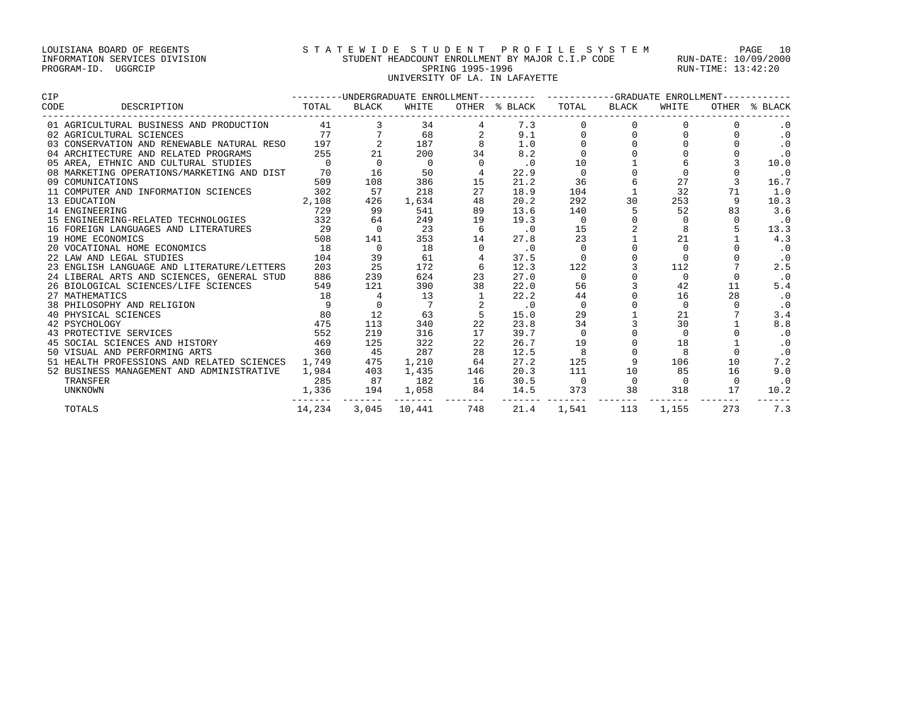# LOUISIANA BOARD OF REGENTS S T A T E W I D E S T U D E N T P R O F I L E S Y S T E M PAGE 10 INFORMATION SERVICES DIVISION STUDENT HEADCOUNT ENROLLMENT BY MAJOR C.I.P CODE RUN-DATE: 10/09/2000 PROGRAM-ID. UGGRCIP SPRING 1995-1996 SPRING 1995-1996 RUN-TIME: 13:42:20 UNIVERSITY OF LA. IN LAFAYETTE

| CIP                                        |          |                | ---------UNDERGRADUATE ENROLLMENT---------- ----------GRADUATE ENROLLMENT----------- |                |                             |                |          |             |          |               |
|--------------------------------------------|----------|----------------|--------------------------------------------------------------------------------------|----------------|-----------------------------|----------------|----------|-------------|----------|---------------|
| CODE<br>DESCRIPTION                        | TOTAL    | BLACK          | WHITE                                                                                |                | OTHER % BLACK               | TOTAL          | BLACK    | WHITE       |          | OTHER % BLACK |
| 01 AGRICULTURAL BUSINESS AND PRODUCTION    |          | 41 — 1         | 34                                                                                   |                | 7.3                         |                |          | $\Omega$    |          | $\cdot$ 0     |
| 02 AGRICULTURAL SCIENCES                   |          | 77             | 68                                                                                   |                | 9.1                         |                |          |             |          | $\cdot$ 0     |
| 03 CONSERVATION AND RENEWABLE NATURAL RESO | 197      |                | 187                                                                                  |                | 1.0                         |                |          |             |          | $\cdot$ 0     |
| 04 ARCHITECTURE AND RELATED PROGRAMS       | 255      | 21             | 200                                                                                  | 34             | 8.2                         |                |          |             |          | $\cdot$ 0     |
| 05 AREA, ETHNIC AND CULTURAL STUDIES       | $\Omega$ | $\Omega$       | $\Omega$                                                                             |                | $\cdot$ 0                   | 10             |          |             |          | 10.0          |
| 08 MARKETING OPERATIONS/MARKETING AND DIST | 70       | 16             | 50                                                                                   |                | 22.9                        | $\Omega$       |          |             |          | $\cdot$ 0     |
| 09 COMUNICATIONS                           | 509      | 108            | 386                                                                                  | 15             | 21.2                        | 36             | 6        | 27          |          | 16.7          |
| 11 COMPUTER AND INFORMATION SCIENCES       | 302      | 57             | 218                                                                                  | 27             | 18.9                        | 104            |          | 32          | 71       | 1.0           |
| 13 EDUCATION                               | 2,108    | 426            | 1,634                                                                                | 48             | 20.2                        | 292            | 30       | 253         | 9        | 10.3          |
| 14 ENGINEERING                             | 729      | 99             | 541                                                                                  | 89             | 13.6                        | 140            | 5        | 52          | 83       | 3.6           |
| 15 ENGINEERING-RELATED TECHNOLOGIES        | 332      | 64             | 249                                                                                  | 19             | 19.3                        | $\Omega$       |          |             |          | $\cdot$ 0     |
| 16 FOREIGN LANGUAGES AND LITERATURES       | 29       | $\overline{0}$ | 23                                                                                   | 6              | $\cdot$ 0                   | 15             |          |             |          | 13.3          |
| 19 HOME ECONOMICS                          | 508      | 141            | 353                                                                                  | 14             | 27.8                        | 23             |          | 21          |          | 4.3           |
| 20 VOCATIONAL HOME ECONOMICS               | 18       | $\Omega$       | 18                                                                                   |                | $\cdot$ 0                   | $\Omega$       |          | $\cap$      |          | $\cdot$ 0     |
| 22 LAW AND LEGAL STUDIES                   | 104      | 39             | 61                                                                                   |                | 37.5                        |                |          |             |          | $\cdot$ 0     |
| 23 ENGLISH LANGUAGE AND LITERATURE/LETTERS | 203      | 25             | 172                                                                                  | 6              | 12.3                        | 122            |          | 112         |          | 2.5           |
| 24 LIBERAL ARTS AND SCIENCES, GENERAL STUD | 886      | 239            | 624                                                                                  | 23             | 27.0                        | $\Omega$       |          | $\Omega$    |          | $\cdot$ 0     |
| 26 BIOLOGICAL SCIENCES/LIFE SCIENCES       | 549      | 121            | 390                                                                                  | 38             | 22.0                        | 56             |          | 42          | 11       | 5.4           |
| 27 MATHEMATICS                             | 18       |                | 13                                                                                   |                | 22.2                        | 44             |          | 16          | 28       | $\cdot$ 0     |
| 38 PHILOSOPHY AND RELIGION                 | 9        |                |                                                                                      |                | $\overline{\phantom{0}}$ .0 | $\Omega$       |          | $\Omega$    |          | $\cdot$ 0     |
| 40 PHYSICAL SCIENCES                       | 80       | 12             | 63                                                                                   | 5              | 15.0                        | 29             |          | 21          |          | 3.4           |
| 42 PSYCHOLOGY                              | 475      | 113            | 340                                                                                  | 22             | 23.8                        | 34             |          | 30          |          | 8.8           |
| 43 PROTECTIVE SERVICES                     | 552      | 219            | 316                                                                                  | 17             | 39.7                        | $\mathbf 0$    |          | $\mathbf 0$ |          | $\cdot$ 0     |
| 45 SOCIAL SCIENCES AND HISTORY             | 469      | 125            | 322                                                                                  | 22             | 26.7                        | 19             |          | 18          |          | $\cdot$ 0     |
| 50 VISUAL AND PERFORMING ARTS              | 360      | 45             | 287                                                                                  | 28             | 12.5                        |                |          | 8           |          | $\cdot$ 0     |
| 51 HEALTH PROFESSIONS AND RELATED SCIENCES | 1,749    | 475            | 1,210                                                                                | 64             | 27.2                        | 125            | 9        | 106         | 10       | 7.2           |
| 52 BUSINESS MANAGEMENT AND ADMINISTRATIVE  | 1,984    | 403            | 1,435                                                                                | 146            | 20.3                        | 111            | 10       | 85          | 16       | 9.0           |
| TRANSFER                                   | 285      | 87             | 182                                                                                  | 16             | 30.5                        | $\overline{0}$ | $\Omega$ | $\Omega$    | $\Omega$ | $\cdot$ 0     |
| <b>UNKNOWN</b>                             | 1,336    | 194<br>.       | 1,058                                                                                | 84<br>$------$ | 14.5                        | 373            | 38       | 318         | 17       | 10.2          |
| TOTALS                                     | 14,234   | 3,045          | 10,441                                                                               | 748            | 21.4                        | 1,541          | 113      | 1,155       | 273      | 7.3           |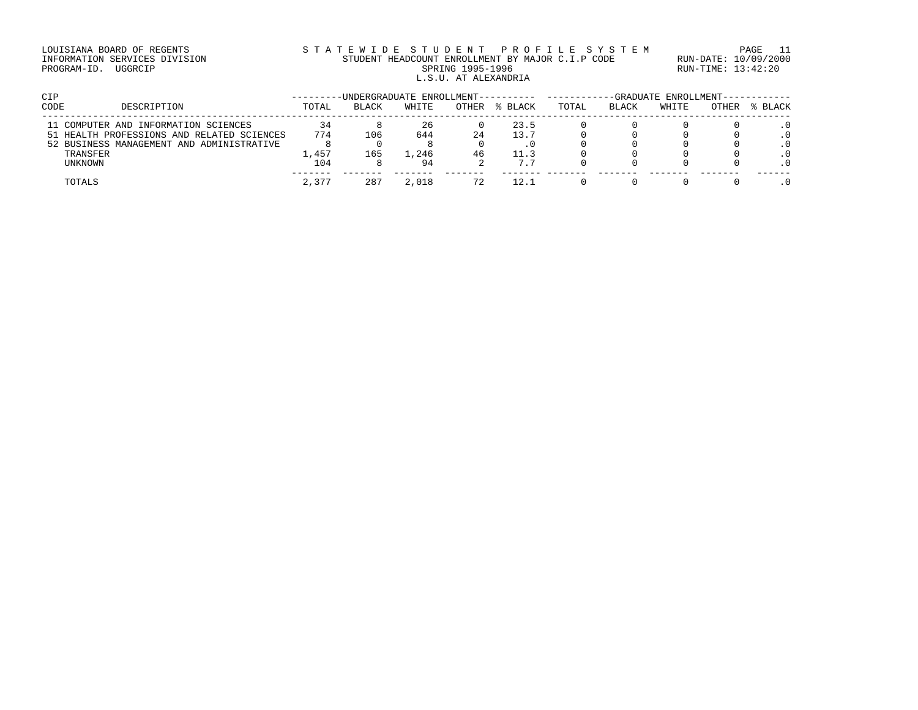# LOUISIANA BOARD OF REGENTS S T A T E W I D E S T U D E N T P R O F I L E S Y S T E M PAGE 11 INFORMATION SERVICES DIVISION STUDENT HEADCOUNT ENROLLMENT BY MAJOR C.I.P CODE RUN-DATE: 10/09/2000 PROGRAM-ID. UGGRCIP SPRING 1995-1996 SPRING 1995-1996 RUN-TIME: 13:42:20 L.S.U. AT ALEXANDRIA

| CIP  |                                            |       | -UNDERGRADUATE ENROLLMENT---------- |       |       |         |       |       | -GRADUATE ENROLLMENT-------- |       |         |
|------|--------------------------------------------|-------|-------------------------------------|-------|-------|---------|-------|-------|------------------------------|-------|---------|
| CODE | DESCRIPTION                                | TOTAL | <b>BLACK</b>                        | WHITE | OTHER | % BLACK | TOTAL | BLACK | WHITE                        | OTHER | % BLACK |
|      | 11 COMPUTER AND INFORMATION SCIENCES       | 34    |                                     | 26    |       | 23.5    |       |       |                              |       |         |
|      | 51 HEALTH PROFESSIONS AND RELATED SCIENCES | 774   | 106                                 | 644   | 24    | 13.7    |       |       |                              |       |         |
|      | 52 BUSINESS MANAGEMENT AND ADMINISTRATIVE  |       |                                     |       |       |         |       |       |                              |       |         |
|      | TRANSFER                                   | 1,457 | 165                                 | 1,246 | 46    | 11.3    |       |       |                              |       |         |
|      | UNKNOWN                                    | 104   |                                     | 94    |       | 7.7     |       |       |                              |       |         |
|      | TOTALS                                     | 2,377 | 287                                 | 2,018 |       | 12.1    |       |       |                              |       |         |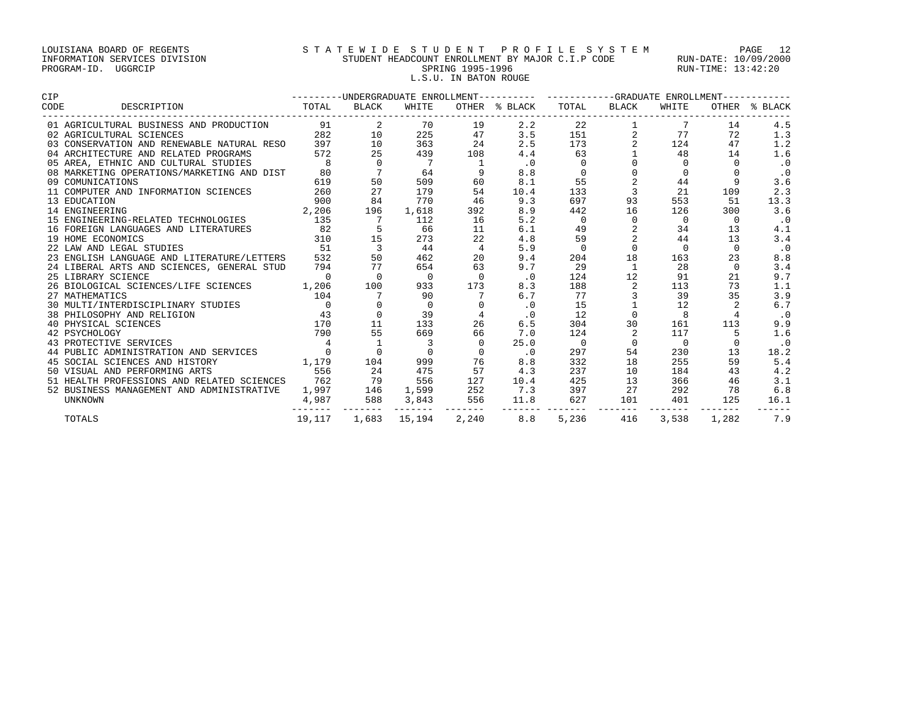### LOUISIANA BOARD OF REGENTS S T A T E W I D E S T U D E N T P R O F I L E S Y S T E M PAGE 12 INFORMATION SERVICES DIVISION STUDENT HEADCOUNT ENROLLMENT BY MAJOR C.I.P CODE RUN-DATE: 10/09/2000 PROGRAM-ID. UGGRCIP SPRING 1995-1996 SPRING 1995-1996 RUN-TIME: 13:42:20 L.S.U. IN BATON ROUGE

|                                                                                                                                                                                                                                                |     |                                               |                                          |                |                                 | --------UNDERGRADUATE ENROLLMENT--------- ----------GRADUATE ENROLLMENT---------- |                    |                |                 |               |
|------------------------------------------------------------------------------------------------------------------------------------------------------------------------------------------------------------------------------------------------|-----|-----------------------------------------------|------------------------------------------|----------------|---------------------------------|-----------------------------------------------------------------------------------|--------------------|----------------|-----------------|---------------|
|                                                                                                                                                                                                                                                |     | BLACK                                         | WHITE                                    |                |                                 | OTHER % BLACK TOTAL BLACK                                                         | ------------------ | WHITE          | --------------- | OTHER % BLACK |
| 01 AGRICULTURAL BUSINESS AND PRODUCTION $91$ 2<br>02 AGRICULTURAL SCIENCES 282 10                                                                                                                                                              |     |                                               |                                          | 70 19          | 2.2                             | $\begin{array}{c} 22 \\ 151 \\ 173 \end{array}$                                   |                    |                | 14              | 4.5           |
|                                                                                                                                                                                                                                                |     |                                               | 225                                      | 47             | 3.5                             |                                                                                   |                    | 77             | 72              | 1.3           |
| 03 CONSERVATION AND RENEWABLE NATURAL RESO 397                                                                                                                                                                                                 |     | $\begin{array}{c} 10 \\ 10 \\ 25 \end{array}$ | 363                                      | 24             | 2.5                             |                                                                                   | 2                  | 124            | 47              | 1.2           |
| 04 ARCHITECTURE AND RELATED PROGRAMS                                                                                                                                                                                                           | 572 |                                               | 439                                      | 108            | 4.4                             | 63                                                                                |                    | 48             | 14              | 1.6           |
|                                                                                                                                                                                                                                                |     | $\overline{0}$                                | $\overline{7}$                           |                | $\cdot$ 0                       | $\mathbf 0$                                                                       |                    | $\Omega$       | $\Omega$        | $\cdot$ 0     |
| 05 AREA, ETHNIC AND CULTURAL STUDIES 8<br>08 MARKETING OPERATIONS/MARKETING AND DIST 80                                                                                                                                                        |     | $7\overline{ }$                               | $\begin{array}{c} 64 \\ 509 \end{array}$ | 9              | 8.8                             | $\Omega$                                                                          |                    | $\Omega$       |                 | $\cdot$ 0     |
| 619<br>09 COMUNICATIONS                                                                                                                                                                                                                        |     | 50                                            |                                          | 60             | 8.1                             | 55                                                                                | $\overline{a}$     | 44             | 9               | 3.6           |
| 11 COMPUTER AND INFORMATION SCIENCES 260                                                                                                                                                                                                       |     | 27                                            | 179                                      | 54             | 10.4                            | 133                                                                               | $\overline{3}$     | 21             | 109             | 2.3           |
|                                                                                                                                                                                                                                                |     | 84                                            | 770                                      | 46             | 9.3                             | 697                                                                               | 93                 | 553            | 51              | 13.3          |
|                                                                                                                                                                                                                                                |     | 196                                           | 1,618                                    | 392            | 8.9                             | 442                                                                               | 16                 | 126            | 300             | 3.6           |
|                                                                                                                                                                                                                                                |     | $\overline{7}$                                | 112                                      | 16             | 5.2                             | $\Omega$                                                                          | $\Omega$           | $\Omega$       | $\Omega$        | $\cdot$ 0     |
|                                                                                                                                                                                                                                                |     | $5\overline{5}$                               | 66                                       | 11             | 6.1                             | 49                                                                                |                    | 34             | 13              | 4.1           |
| 11 CURRENTION<br>13 EDUCATION 14<br>14 ENGINEERING 2,206<br>15 ENGINEERING-RELATED TECHNOLOGIES 135<br>16 FOREIGN LANGUAGES AND LITERATURES 82<br>19 HOME ECONOMICS 310<br>22 LAW AND LEGAL STUDIES 19 52                                      |     | 15                                            | 273                                      | 22             | 4.8                             | 59                                                                                | 2                  | 44             | 13              | 3.4           |
|                                                                                                                                                                                                                                                |     | $\overline{\mathbf{3}}$                       | 44                                       | $\overline{4}$ | 5.9                             | $\overline{0}$                                                                    | $\Omega$           | $\Omega$       | $\Omega$        | $\cdot$ 0     |
| 23 ENGLISH LANGUAGE AND LITERATURE/LETTERS 532                                                                                                                                                                                                 |     | 50                                            | 462                                      | 20             | 9.4                             | 204                                                                               | 18                 | 163            | 23              | 8.8           |
| 24 LIBERAL ARTS AND SCIENCES, GENERAL STUD 794 77                                                                                                                                                                                              |     |                                               | 654                                      | 63             | 9.7                             | 29                                                                                | $\overline{1}$     | 28             | $\Omega$        | 3.4           |
| 25 LIBRARY SCIENCE                                                                                                                                                                                                                             |     | $\begin{matrix}0&0\end{matrix}$               | $\overline{0}$                           | $\Omega$       | $\overline{\phantom{0}}$ .0     | 124                                                                               | 12                 | 91             | 21              | $9.7$         |
| 26 BIOLOGICAL SCIENCES/LIFE SCIENCES 1,206 100                                                                                                                                                                                                 |     |                                               | 933                                      | 173            | 8.3                             | 188                                                                               |                    | 113            | 73              | 1.1           |
|                                                                                                                                                                                                                                                |     |                                               | 90                                       |                | 6.7                             | 77                                                                                |                    | 39             | 35              | 3.9           |
|                                                                                                                                                                                                                                                |     |                                               | $\overline{0}$                           |                | $\cdot$ 0                       | 15                                                                                |                    | 12             |                 | 6.7           |
|                                                                                                                                                                                                                                                |     | $\overline{0}$                                | 39                                       |                | $\cdot$ 0                       | 12                                                                                | $\Omega$           | 8              |                 | $\cdot$ 0     |
|                                                                                                                                                                                                                                                |     | 11                                            | 133                                      | 26             | 6.5                             | 304                                                                               | 30                 | 161            | 113             | 9.9           |
|                                                                                                                                                                                                                                                |     | 55                                            | 669                                      | 66             | 7.0                             | 124                                                                               | 2                  | 117            | 5 <sup>5</sup>  | 1.6           |
| 27 MATHEMATICS<br>30 MULTI/INTERDISCIPLINARY STUDIES<br>38 PHILOSOPHY AND RELIGION<br>43 PHILOSOPHY AND RELIGION<br>43 PROTECTIVE SERVICES<br>42 PSYCHOLOGY<br>43 PROTECTIVE SERVICES<br>44 PUBLIC ADMINISTRATION AND SERVICES<br>44 PUBLIC AD |     |                                               |                                          | $\Omega$       | 25.0                            | $\overline{0}$                                                                    | $\Omega$           | $\overline{0}$ | $\Omega$        | $\cdot$ 0     |
|                                                                                                                                                                                                                                                |     | $\overline{0}$                                |                                          | $\Omega$       | $\overline{\phantom{0}}$ .0     | 297                                                                               | 54                 | 230            | 13              | 18.2          |
| 45 SOCIAL SCIENCES AND HISTORY 11,179 104 999 76                                                                                                                                                                                               |     |                                               |                                          |                | 8.8                             | 332                                                                               | 18                 | 255            | 59              | 5.4           |
| 556<br>50 VISUAL AND PERFORMING ARTS                                                                                                                                                                                                           |     | 24 475                                        |                                          | 57             | 4.3                             | 237                                                                               | 10                 | 184            | 43              | 4.2           |
|                                                                                                                                                                                                                                                |     |                                               | 556                                      | 127            | 10.4                            | 425                                                                               | 13                 | 366            | 46              | 3.1           |
|                                                                                                                                                                                                                                                |     |                                               |                                          |                |                                 | 397                                                                               | 27                 | 292            | 78              | 6.8           |
| 50 VISUAL AND LEATED SCIENCES<br>52 BUSINESS MANAGEMENT AND ADMINISTRATIVE 1,997 146                                                                                                                                                           |     |                                               | _______   _______    _______             |                | 1,599 252 7.3<br>3,843 556 11.8 | 627                                                                               | 101                | 401            | 125             | 16.1          |
| <b>TOTALS</b>                                                                                                                                                                                                                                  |     |                                               |                                          |                | 19,117 1,683 15,194 2,240 8.8   | 5,236                                                                             | 416                |                | 3,538 1,282 7.9 |               |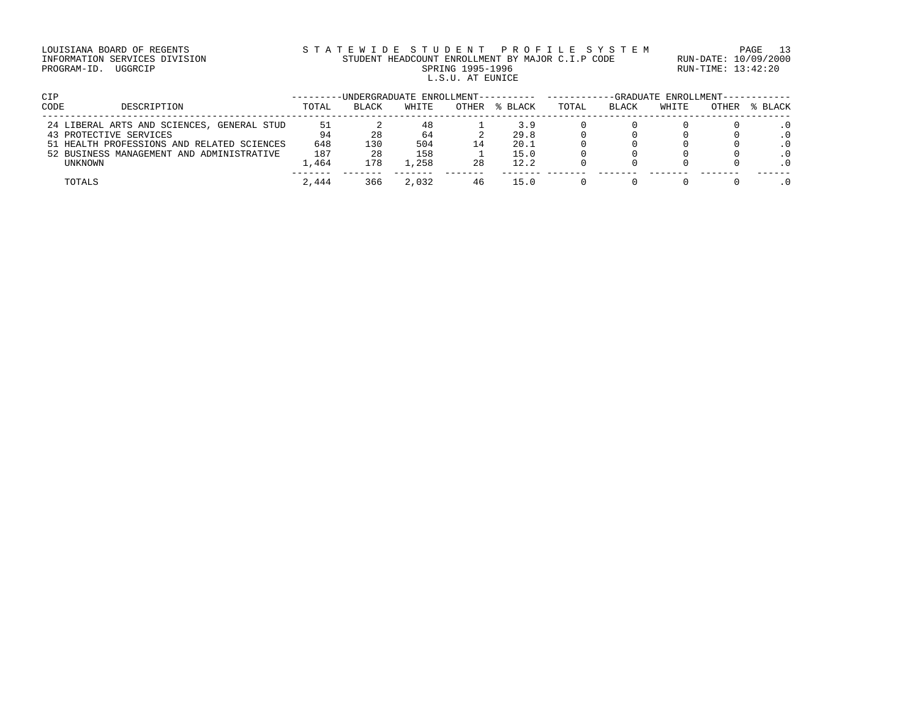# LOUISIANA BOARD OF REGENTS STATEWIDE STUDENT PROFILE SYSTEM PAGE 13 INFORMATION SERVICES DIVISION STUDENT HEADCOUNT ENROLLMENT BY MAJOR C.I.P CODE RUN-DATE: 10/09/2000 PROGRAM-ID. UGGRCIP SPRING 1995-1996 SPRING 1995-1996 RUN-TIME: 13:42:20 L.S.U. AT EUNICE

| <b>CIP</b> |                                            |       |              | -UNDERGRADUATE ENROLLMENT---------- |              |         |       |       | -GRADUATE ENROLLMENT----------- |       |         |
|------------|--------------------------------------------|-------|--------------|-------------------------------------|--------------|---------|-------|-------|---------------------------------|-------|---------|
| CODE       | DESCRIPTION                                | TOTAL | <b>BLACK</b> | WHITE                               | <b>OTHER</b> | % BLACK | TOTAL | BLACK | WHITE                           | OTHER | % BLACK |
|            | 24 LIBERAL ARTS AND SCIENCES, GENERAL STUD | 51    |              | 48                                  |              | 3.9     |       |       |                                 |       |         |
|            | 43 PROTECTIVE SERVICES                     | 94    | 28           | 64                                  |              | 29.8    |       |       |                                 |       |         |
|            | 51 HEALTH PROFESSIONS AND RELATED SCIENCES | 648   | 130          | 504                                 | $\perp$ 4    | 20.1    |       |       |                                 |       |         |
|            | 52 BUSINESS MANAGEMENT AND ADMINISTRATIVE  | 187   | 28           | 158                                 |              | 15.0    |       |       |                                 |       |         |
|            | UNKNOWN                                    | 1,464 | 178          | . . 258                             | 28           | 12.2    |       |       |                                 |       |         |
|            | TOTALS                                     | 2,444 | 366          | 2,032                               | 46           | 15.O    |       |       |                                 |       |         |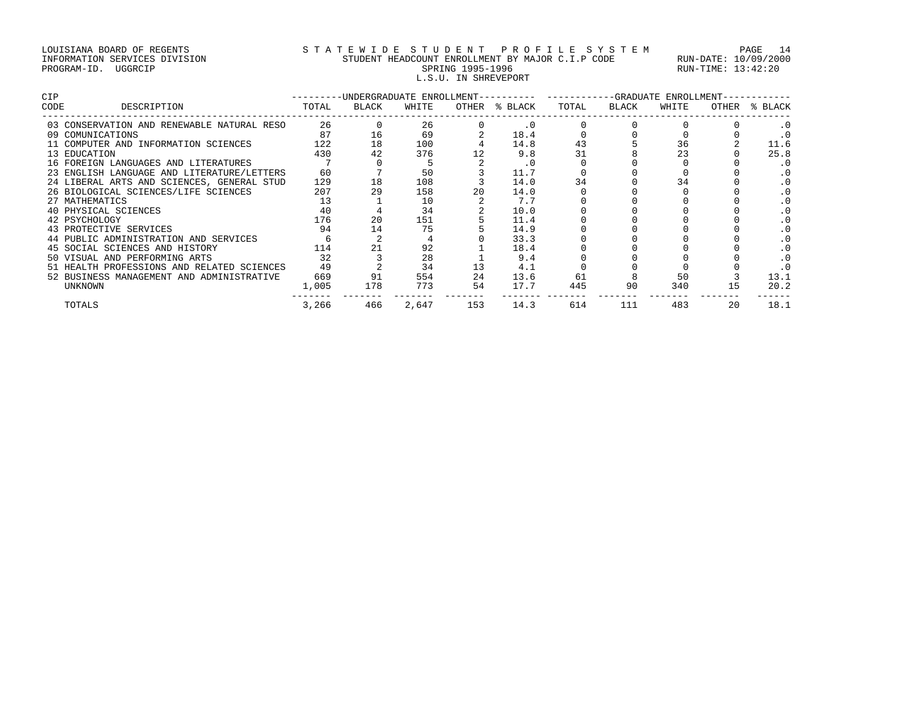## LOUISIANA BOARD OF REGENTS S T A T E W I D E S T U D E N T P R O F I L E S Y S T E M PAGE 14 INFORMATION SERVICES DIVISION STUDENT HEADCOUNT ENROLLMENT BY MAJOR C.I.P CODE RUN-DATE: 10/09/2000 PROGRAM-ID. UGGRCIP SPRING 1995-1996 SPRING 1995-1996 RUN-TIME: 13:42:20 L.S.U. IN SHREVEPORT

| CIP  |                                            |       | -UNDERGRADUATE ENROLLMENT-- |       |       |           |       |       | -GRADUATE ENROLLMENT- |       |           |
|------|--------------------------------------------|-------|-----------------------------|-------|-------|-----------|-------|-------|-----------------------|-------|-----------|
| CODE | DESCRIPTION                                | TOTAL | BLACK                       | WHITE | OTHER | % BLACK   | TOTAL | BLACK | WHITE                 | OTHER | % BLACK   |
|      | 03 CONSERVATION AND RENEWABLE NATURAL RESO | 26    |                             | 26    |       | $\cdot$ 0 |       |       |                       |       |           |
|      | 09 COMUNICATIONS                           | 87    | 16                          | 69    |       | 18.4      |       |       |                       |       |           |
|      | 11 COMPUTER AND INFORMATION SCIENCES       | 122   | 18                          | 100   |       | 14.8      | 43    |       | 36                    |       | 11.6      |
|      | 13 EDUCATION                               | 430   | 42                          | 376   |       | 9.8       | 31    |       | 23                    |       | 25.8      |
|      | 16 FOREIGN LANGUAGES AND LITERATURES       |       |                             |       |       | . 0       |       |       |                       |       | $\cdot$ 0 |
|      | 23 ENGLISH LANGUAGE AND LITERATURE/LETTERS | 60    |                             | 50    |       | 11.7      |       |       |                       |       |           |
|      | 24 LIBERAL ARTS AND SCIENCES, GENERAL STUD | 129   | 18                          | 108   |       | 14.0      | 34    |       |                       |       |           |
|      | 26 BIOLOGICAL SCIENCES/LIFE SCIENCES       | 207   | 29                          | 158   | 20    | 14.0      |       |       |                       |       |           |
|      | 27 MATHEMATICS                             | 13    |                             | 10    |       | 7.7       |       |       |                       |       |           |
|      | 40 PHYSICAL SCIENCES                       | 40    |                             | 34    |       | 10.0      |       |       |                       |       |           |
|      | 42 PSYCHOLOGY                              | 176   | 20                          | 151   |       | 11.4      |       |       |                       |       |           |
|      | 43 PROTECTIVE SERVICES                     | 94    | 14                          | 75    |       | 14.9      |       |       |                       |       |           |
|      | 44 PUBLIC ADMINISTRATION AND SERVICES      |       |                             |       |       | 33.3      |       |       |                       |       |           |
|      | 45 SOCIAL SCIENCES AND HISTORY             | 114   |                             | 92    |       | 18.4      |       |       |                       |       |           |
|      | 50 VISUAL AND PERFORMING ARTS              | 32    |                             | 28    |       | 9.4       |       |       |                       |       |           |
|      | 51 HEALTH PROFESSIONS AND RELATED SCIENCES | 49    |                             | 34    |       | 4.1       |       |       |                       |       |           |
|      | 52 BUSINESS MANAGEMENT AND ADMINISTRATIVE  | 669   | 91                          | 554   | 24    | 13.6      | 61    |       | 50                    |       | 13.1      |
|      | UNKNOWN                                    | 1,005 | 178                         | 773   | 54    | 17.7      | 445   | 90    | 340                   | 15    | 20.2      |
|      | TOTALS                                     | 3,266 | 466                         | 2,647 | 153   | 14.3      | 614   | 111   | 483                   | 20    | 18.1      |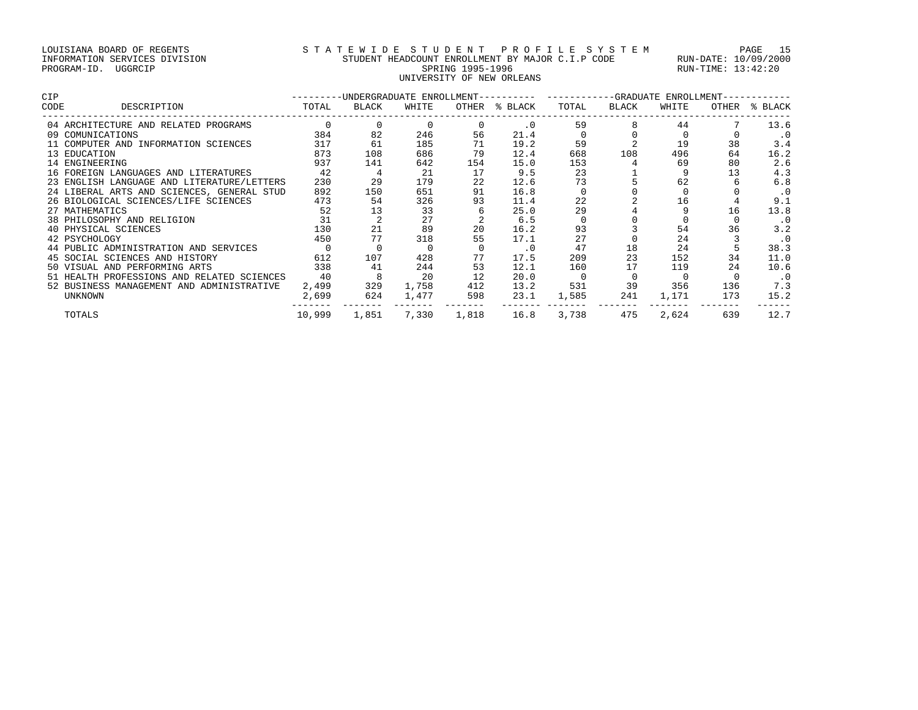# LOUISIANA BOARD OF REGENTS S T A T E W I D E S T U D E N T P R O F I L E S Y S T E M PAGE 15 INFORMATION SERVICES DIVISION STUDENT HEADCOUNT ENROLLMENT BY MAJOR C.I.P CODE RUN-DATE: 10/09/2000 PROGRAM-ID. UGGRCIP SPRING 1995-1996 SPRING 1995-1996 RUN-TIME: 13:42:20 SPRING 1995-1996<br>UNIVERSITY OF NEW ORLEANS

| CIP  |                                            |        |       |       |       | -UNDERGRADUATE ENROLLMENT---------- -------- |       |       | ---GRADUATE ENROLLMENT- |       |           |
|------|--------------------------------------------|--------|-------|-------|-------|----------------------------------------------|-------|-------|-------------------------|-------|-----------|
| CODE | DESCRIPTION                                | TOTAL  | BLACK | WHITE | OTHER | % BLACK                                      | TOTAL | BLACK | WHITE                   | OTHER | % BLACK   |
|      | 04 ARCHITECTURE AND RELATED PROGRAMS       |        |       |       |       | $\cdot$ 0                                    | 59    |       | 44                      |       | 13.6      |
|      | 09 COMUNICATIONS                           | 384    | 82    | 246   | 56    | 21.4                                         |       |       |                         |       | . 0       |
|      | 11 COMPUTER AND INFORMATION SCIENCES       | 317    | 61    | 185   | 71    | 19.2                                         | 59    |       | 19                      | 38    | 3.4       |
|      | 13 EDUCATION                               | 873    | 108   | 686   | 79    | 12.4                                         | 668   | 108   | 496                     | 64    | 16.2      |
|      | 14 ENGINEERING                             | 937    | 141   | 642   | 154   | 15.0                                         | 153   |       | 69                      | 80    | 2.6       |
|      | 16 FOREIGN LANGUAGES AND LITERATURES       | 42     | 4     | 21    | 17    | 9.5                                          | 23    |       |                         | 13    | 4.3       |
|      | 23 ENGLISH LANGUAGE AND LITERATURE/LETTERS | 230    | 29    | 179   | 22    | 12.6                                         | 73    |       | 62                      |       | 6.8       |
|      | 24 LIBERAL ARTS AND SCIENCES, GENERAL STUD | 892    | 150   | 651   | 91    | 16.8                                         |       |       |                         |       | $\cdot$ 0 |
|      | 26 BIOLOGICAL SCIENCES/LIFE SCIENCES       | 473    | 54    | 326   | 93    | 11.4                                         | 22    |       | 16                      |       | 9.1       |
|      | 27 MATHEMATICS                             | 52     | 13    | 33    |       | 25.0                                         | 29    |       |                         | 16    | 13.8      |
|      | 38 PHILOSOPHY AND RELIGION                 | 31     |       | 27    |       | 6.5                                          |       |       |                         |       | . 0       |
|      | 40 PHYSICAL SCIENCES                       | 130    | 21    | 89    | 20    | 16.2                                         | 93    |       | 54                      | 36    | 3.2       |
|      | 42 PSYCHOLOGY                              | 450    | 77    | 318   | 55    | 17.1                                         | 27    |       | 24                      |       | $\cdot$ 0 |
|      | 44 PUBLIC ADMINISTRATION AND SERVICES      |        |       |       |       | $\cdot$ 0                                    | 47    | 18    | 24                      |       | 38.3      |
|      | 45 SOCIAL SCIENCES AND HISTORY             | 612    | 107   | 428   | 77    | 17.5                                         | 209   | 23    | 152                     | 34    | 11.0      |
|      | 50 VISUAL AND PERFORMING ARTS              | 338    | 41    | 244   | 53    | 12.1                                         | 160   | 17    | 119                     | 24    | 10.6      |
|      | 51 HEALTH PROFESSIONS AND RELATED SCIENCES | 40     | 8     | 20    | 12    | 20.0                                         |       |       |                         |       | $\cdot$ 0 |
|      | 52 BUSINESS MANAGEMENT AND ADMINISTRATIVE  | 2,499  | 329   | 1,758 | 412   | 13.2                                         | 531   | 39    | 356                     | 136   | 7.3       |
|      | <b>UNKNOWN</b>                             | 2,699  | 624   | 1,477 | 598   | 23.1                                         | 1,585 | 241   | 1,171                   | 173   | 15.2      |
|      | TOTALS                                     | 10,999 | 1,851 | 7,330 | 1,818 | 16.8                                         | 3,738 | 475   | 2,624                   | 639   | 12.7      |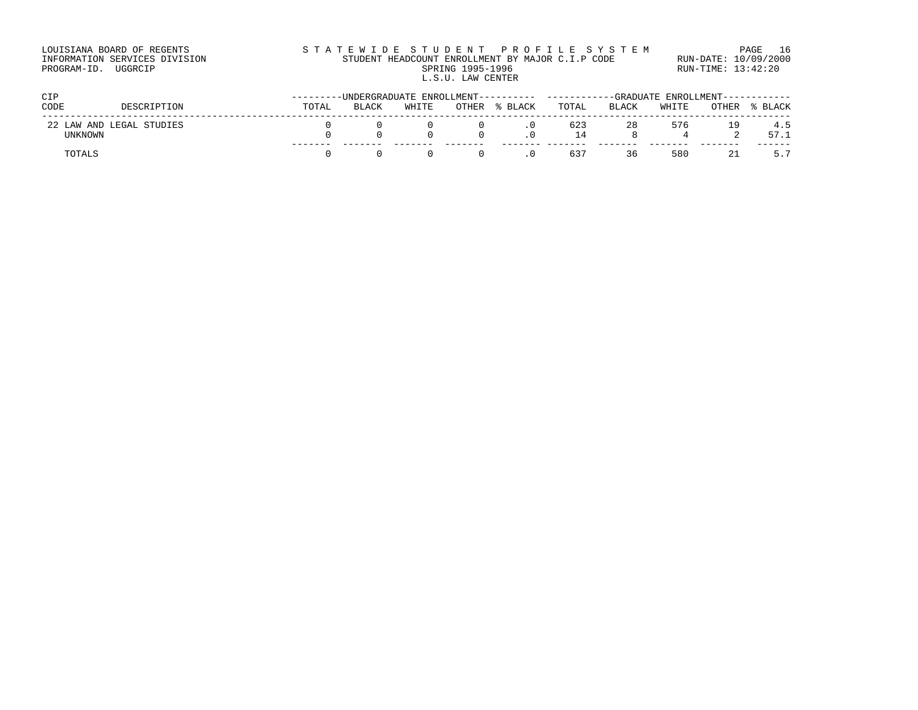| LOUISIANA BOARD OF REGENTS    | STATEWIDE STUDENT PROFILE SYSTEM                 | PAGE 16              |
|-------------------------------|--------------------------------------------------|----------------------|
| INFORMATION SERVICES DIVISION | STUDENT HEADCOUNT ENROLLMENT BY MAJOR C.I.P CODE | RUN-DATE: 10/09/2000 |
| PROGRAM-ID. UGGRCIP           | SPRING 1995-1996                                 | RUN-TIME: 13:42:20   |
|                               | L.S.U. LAW CENTER                                |                      |

| CIP     |                          |       | ENROLLMENT----------<br>-UNDERGRADUATE |       |       |         |                   |       | -GRADUATE ENROLLMENT------- |       |             |  |  |
|---------|--------------------------|-------|----------------------------------------|-------|-------|---------|-------------------|-------|-----------------------------|-------|-------------|--|--|
| CODE    | DESCRIPTION              | TOTAL | BLACK                                  | WHITE | OTHER | % BLACK | TOTAL             | BLACK | WHITE                       | OTHER | BLACK       |  |  |
| UNKNOWN | 22 LAW AND LEGAL STUDIES |       |                                        |       |       |         | 623<br>$\sqrt{4}$ | 28    | 576                         | 19    | 4.5<br>57.1 |  |  |
| TOTAL.  |                          |       |                                        |       |       |         | 637               | 36    | 580                         |       |             |  |  |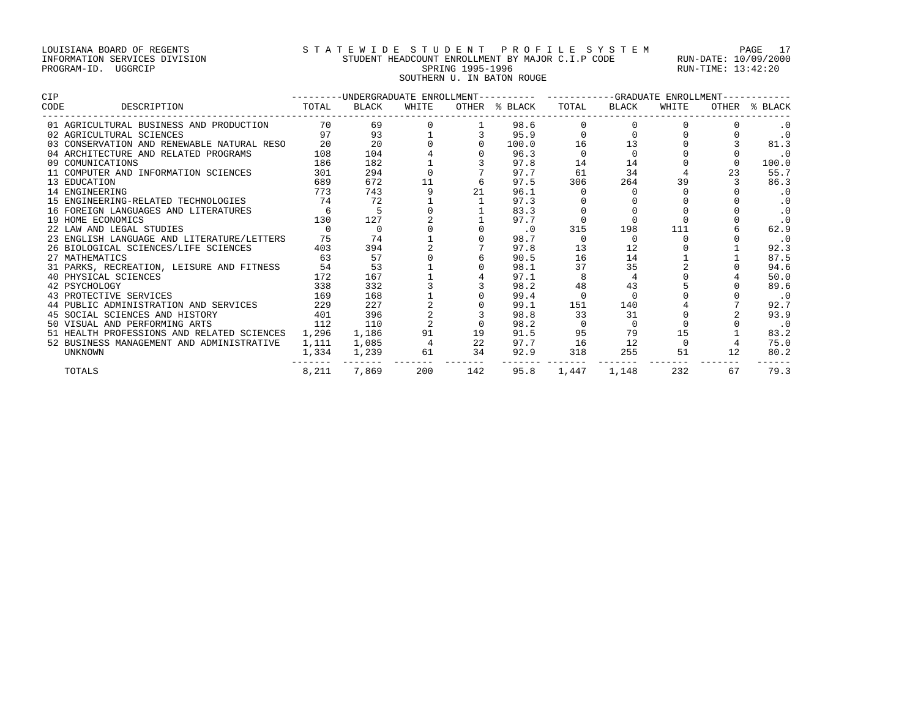# LOUISIANA BOARD OF REGENTS S T A T E W I D E S T U D E N T P R O F I L E S Y S T E M PAGE 17 INFORMATION SERVICES DIVISION STUDENT HEADCOUNT ENROLLMENT BY MAJOR C.I.P CODE RUN-DATE: 10/09/2000 PROGRAM-ID. UGGRCIP SPRING 1995-1996 SPRING 1995-1996 RUN-TIME: 13:42:20 SOUTHERN U. IN BATON ROUGE

| <b>CIP</b>  |                                            |       |             |       |     | ---------UNDERGRADUATE ENROLLMENT---------- ----------GRADUATE ENROLLMENT- |          |             |       |    |               |
|-------------|--------------------------------------------|-------|-------------|-------|-----|----------------------------------------------------------------------------|----------|-------------|-------|----|---------------|
| <b>CODE</b> | DESCRIPTION                                | TOTAL | BLACK       | WHITE |     | OTHER % BLACK                                                              |          | TOTAL BLACK | WHITE |    | OTHER % BLACK |
|             | 01 AGRICULTURAL BUSINESS AND PRODUCTION    | 70    | 69          |       |     | 98.6                                                                       |          |             |       |    |               |
|             | 02 AGRICULTURAL SCIENCES                   | 97    | 93          |       |     | 95.9                                                                       |          | $\cap$      |       |    | $\cdot$ 0     |
|             | 03 CONSERVATION AND RENEWABLE NATURAL RESO | 20    | 20          |       |     | 100.0                                                                      | 16       | 13          |       |    | 81.3          |
|             | 04 ARCHITECTURE AND RELATED PROGRAMS       | 108   | 104         |       |     | 96.3                                                                       |          |             |       |    | . 0           |
|             | 09 COMUNICATIONS                           | 186   | 182         |       |     | 97.8                                                                       | 14       | 14          |       |    | 100.0         |
|             | 11 COMPUTER AND INFORMATION SCIENCES       | 301   | 294         |       |     | 97.7                                                                       | 61       | 34          |       | 23 | 55.7          |
|             | 13 EDUCATION                               | 689   | 672         | 11    |     | 97.5                                                                       | 306      | 264         | 39    |    | 86.3          |
|             | 14 ENGINEERING                             | 773   | 743         |       | 21  | 96.1                                                                       |          |             |       |    | $\cdot$ 0     |
|             | 15 ENGINEERING-RELATED TECHNOLOGIES        | 74    | 72          |       |     | 97.3                                                                       |          |             |       |    | $\cdot$ 0     |
|             | 16 FOREIGN LANGUAGES AND LITERATURES       | 6     | 5           |       |     | 83.3                                                                       |          |             |       |    | $\cdot$ 0     |
|             | 19 HOME ECONOMICS                          | 130   | 127         |       |     | 97.7                                                                       |          |             |       |    | $\cdot$ 0     |
|             | 22 LAW AND LEGAL STUDIES                   |       | $\mathbf 0$ |       |     | $\cdot$ 0                                                                  | 315      | 198         | 111   |    | 62.9          |
|             | 23 ENGLISH LANGUAGE AND LITERATURE/LETTERS | 75    | 74          |       |     | 98.7                                                                       |          |             |       |    | $\cdot$ 0     |
|             | 26 BIOLOGICAL SCIENCES/LIFE SCIENCES       | 403   | 394         |       |     | 97.8                                                                       | 13       | 12          |       |    | 92.3          |
|             | 27 MATHEMATICS                             | 63    | 57          |       |     | 90.5                                                                       | 16       | 14          |       |    | 87.5          |
|             | 31 PARKS, RECREATION, LEISURE AND FITNESS  | 54    | 53          |       |     | 98.1                                                                       | 37       | 35          |       |    | 94.6          |
|             | 40 PHYSICAL SCIENCES                       | 172   | 167         |       |     | 97.1                                                                       |          |             |       |    | 50.0          |
|             | 42 PSYCHOLOGY                              | 338   | 332         |       |     | 98.2                                                                       | 48       | 43          |       |    | 89.6          |
|             | 43 PROTECTIVE SERVICES                     | 169   | 168         |       |     | 99.4                                                                       | $\Omega$ |             |       |    | $\cdot$ 0     |
|             | 44 PUBLIC ADMINISTRATION AND SERVICES      | 229   | 227         |       |     | 99.1                                                                       | 151      | 140         |       |    | 92.7          |
|             | 45 SOCIAL SCIENCES AND HISTORY             | 401   | 396         |       |     | 98.8                                                                       | 33       | 31          |       |    | 93.9          |
|             | 50 VISUAL AND PERFORMING ARTS              | 112   | 110         |       |     | 98.2                                                                       |          | $\Omega$    |       |    | $\cdot$ 0     |
|             | 51 HEALTH PROFESSIONS AND RELATED SCIENCES | 1,296 | 1,186       | 91    | 19  | 91.5                                                                       | 95       | 79          | 15    |    | 83.2          |
|             | 52 BUSINESS MANAGEMENT AND ADMINISTRATIVE  | 1,111 | 1,085       |       | 22  | 97.7                                                                       | 16       | 12          |       |    | 75.0          |
|             | <b>UNKNOWN</b>                             | 1,334 | 1,239       | 61    | 34  | 92.9                                                                       | 318      | 255         | 51    | 12 | 80.2          |
|             | TOTALS                                     | 8,211 | 7,869       | 200   | 142 | 95.8                                                                       | 1,447    | 1,148       | 232   | 67 | 79.3          |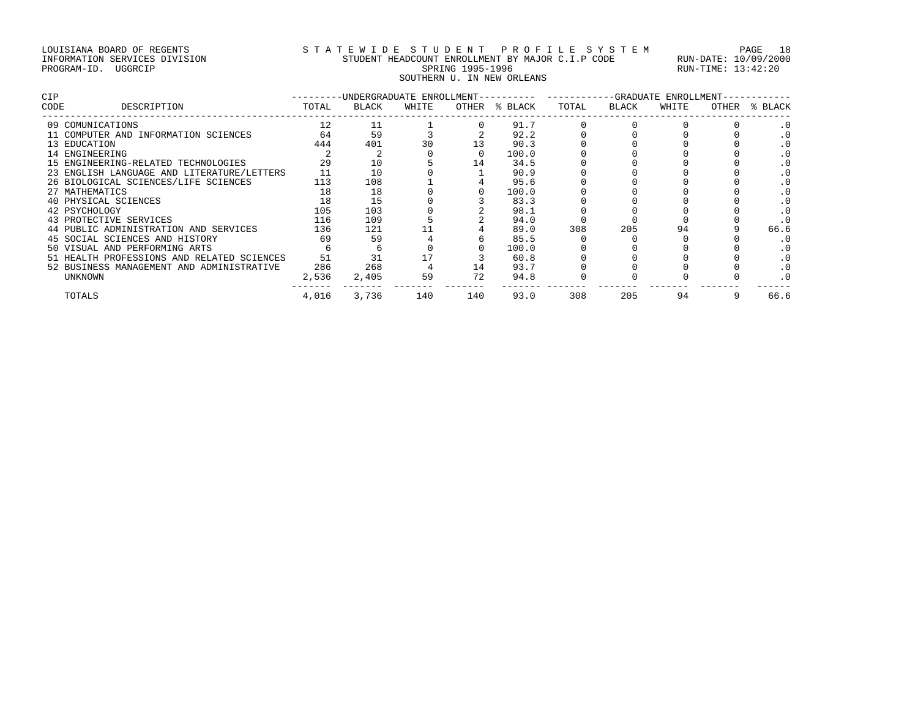# LOUISIANA BOARD OF REGENTS S T A T E W I D E S T U D E N T P R O F I L E S Y S T E M PAGE 18 INFORMATION SERVICES DIVISION STUDENT HEADCOUNT ENROLLMENT BY MAJOR C.I.P CODE RUN-DATE: 10/09/2000 PROGRAM-ID. UGGRCIP SPRING 1995-1996 SPRING 1995-1996 RUN-TIME: 13:42:20 SOUTHERN U. IN NEW ORLEANS

| CIP  |                                            |       | -UNDERGRADUATE ENROLLMENT-- |       |       |         |       |       | -GRADUATE ENROLLMENT- |       |         |
|------|--------------------------------------------|-------|-----------------------------|-------|-------|---------|-------|-------|-----------------------|-------|---------|
| CODE | DESCRIPTION                                | TOTAL | BLACK                       | WHITE | OTHER | % BLACK | TOTAL | BLACK | WHITE                 | OTHER | % BLACK |
|      | 09 COMUNICATIONS                           | 12    | 11                          |       |       | 91.7    |       |       |                       |       |         |
|      | 11 COMPUTER AND INFORMATION SCIENCES       | 64    | 59                          |       |       | 92.2    |       |       |                       |       |         |
|      | 13 EDUCATION                               | 444   | 401                         | 30    |       | 90.3    |       |       |                       |       |         |
|      | 14 ENGINEERING                             |       |                             |       |       | 100.0   |       |       |                       |       |         |
|      | 15 ENGINEERING-RELATED TECHNOLOGIES        | 29    | 10                          |       | 14    | 34.5    |       |       |                       |       |         |
|      | 23 ENGLISH LANGUAGE AND LITERATURE/LETTERS |       | 10                          |       |       | 90.9    |       |       |                       |       |         |
|      | 26 BIOLOGICAL SCIENCES/LIFE SCIENCES       | 113   | 108                         |       |       | 95.6    |       |       |                       |       |         |
|      | 27 MATHEMATICS                             | 18    | 18                          |       |       | 100.0   |       |       |                       |       |         |
|      | 40 PHYSICAL SCIENCES                       | 18    | 15                          |       |       | 83.3    |       |       |                       |       |         |
|      | 42 PSYCHOLOGY                              | 105   | 103                         |       |       | 98.1    |       |       |                       |       |         |
|      | 43 PROTECTIVE SERVICES                     | 116   | 109                         |       |       | 94.0    |       |       |                       |       |         |
|      | 44 PUBLIC ADMINISTRATION AND SERVICES      | 136   | 121                         |       |       | 89.0    | 308   | 205   | 94                    |       | 66.6    |
|      | 45 SOCIAL SCIENCES AND HISTORY             | 69    | 59                          |       |       | 85.5    |       |       |                       |       |         |
|      | 50 VISUAL AND PERFORMING ARTS              |       |                             |       |       | 100.0   |       |       |                       |       |         |
|      | 51 HEALTH PROFESSIONS AND RELATED SCIENCES | 51    | 31                          |       |       | 60.8    |       |       |                       |       |         |
|      | 52 BUSINESS MANAGEMENT AND ADMINISTRATIVE  | 286   | 268                         |       | 14    | 93.7    |       |       |                       |       |         |
|      | UNKNOWN                                    | 2,536 | 2,405                       | 59    | 72    | 94.8    |       |       |                       |       |         |
|      | TOTALS                                     | 4,016 | 3,736                       | 140   | 140   | 93.0    | 308   | 205   | 94                    |       | 66.6    |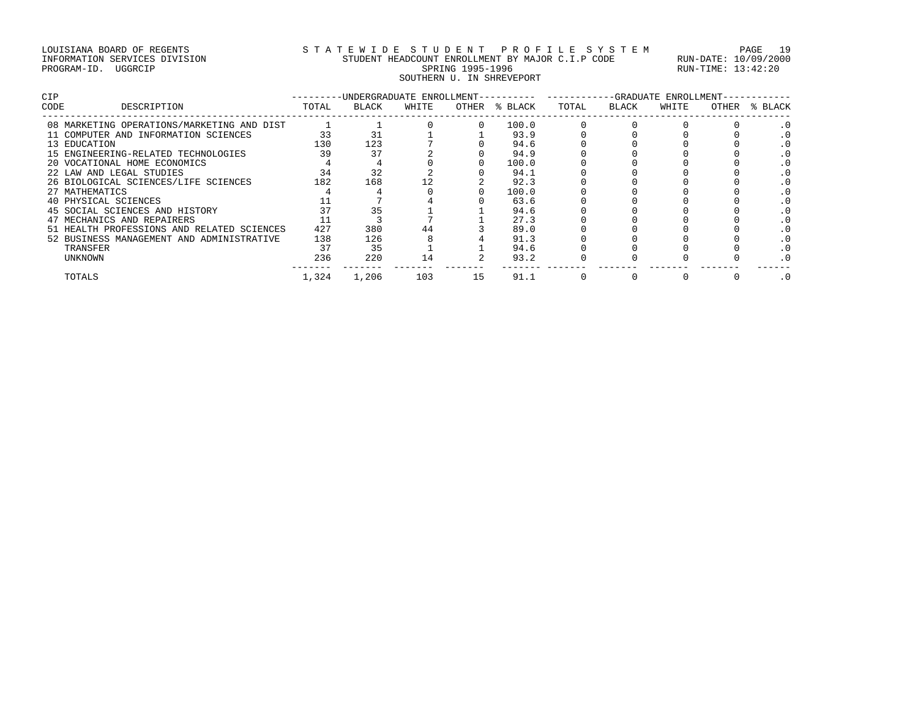# LOUISIANA BOARD OF REGENTS STRITE WIDE STUDENT PROFILE SYSTEM PAGE 19<br>INFORMATION SERVICES DIVISION STUDENT HEADCOUNT ENROLLMENT BY MAJOR C.I.P CODE RUN-DATE: 10/09/2000<br>PROGRAM-ID. UGGRCIP INFORMATION SERVICES DIVISION STUDENT HEADCOUNT ENROLLMENT BY MAJOR C.I.P CODE RUN-DATE: 10/09/2000 PROGRAM-ID. UGGRCIP SPRING 1995-1996 SPRING 1995-1996 RUN-TIME: 13:42:20 SOUTHERN U. IN SHREVEPORT

| <b>CIP</b> |                                            |       | -UNDERGRADUATE ENROLLMENT-- |       |       |         |       | -GRADUATE    | ENROLLMENT- |       |         |
|------------|--------------------------------------------|-------|-----------------------------|-------|-------|---------|-------|--------------|-------------|-------|---------|
| CODE       | DESCRIPTION                                | TOTAL | BLACK                       | WHITE | OTHER | % BLACK | TOTAL | <b>BLACK</b> | WHITE       | OTHER | % BLACK |
|            | 08 MARKETING OPERATIONS/MARKETING AND DIST |       |                             |       |       | 100.0   |       |              |             |       |         |
|            | 11 COMPUTER AND INFORMATION SCIENCES       | 33    | 31                          |       |       | 93.9    |       |              |             |       |         |
|            | 13 EDUCATION                               | 130   | 123                         |       |       | 94.6    |       |              |             |       |         |
|            | 15 ENGINEERING-RELATED TECHNOLOGIES        | 39    | 37                          |       |       | 94.9    |       |              |             |       |         |
|            | 20 VOCATIONAL HOME ECONOMICS               |       |                             |       |       | 100.0   |       |              |             |       |         |
|            | 22 LAW AND LEGAL STUDIES                   | 34    | 32                          |       |       | 94.1    |       |              |             |       |         |
|            | 26 BIOLOGICAL SCIENCES/LIFE SCIENCES       | 182   | 168                         |       |       | 92.3    |       |              |             |       |         |
|            | 27 MATHEMATICS                             |       |                             |       |       | 100.0   |       |              |             |       |         |
|            | 40 PHYSICAL SCIENCES                       |       |                             |       |       | 63.6    |       |              |             |       |         |
|            | 45 SOCIAL SCIENCES AND HISTORY             | 37    |                             |       |       | 94.6    |       |              |             |       |         |
|            | 47 MECHANICS AND REPAIRERS                 |       |                             |       |       | 27.3    |       |              |             |       |         |
|            | 51 HEALTH PROFESSIONS AND RELATED SCIENCES | 427   | 380                         | 44    |       | 89.0    |       |              |             |       |         |
|            | 52 BUSINESS MANAGEMENT AND ADMINISTRATIVE  | 138   | 126                         |       |       | 91.3    |       |              |             |       |         |
|            | TRANSFER                                   | 37    | 35                          |       |       | 94.6    |       |              |             |       |         |
|            | UNKNOWN                                    | 236   | 220                         | 14    |       | 93.2    |       |              |             |       |         |
|            | TOTALS                                     | 1,324 | 1,206                       | 103   | 15    | 91.1    |       |              |             |       |         |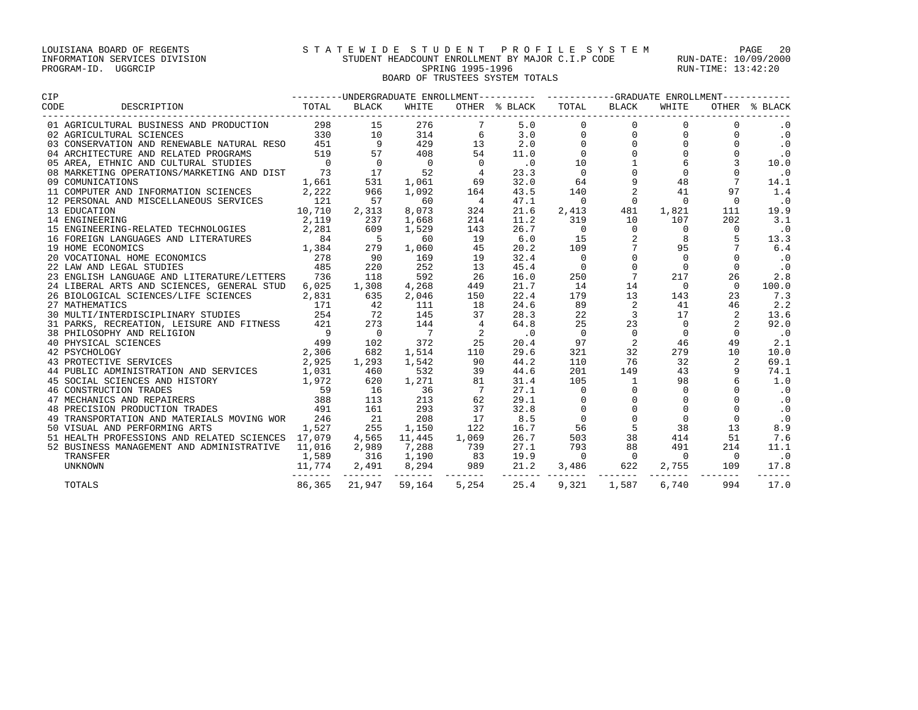## LOUISIANA BOARD OF REGENTS S T A T E W I D E S T U D E N T P R O F I L E S Y S T E M PAGE 20 INFORMATION SERVICES DIVISION STUDENT HEADCOUNT ENROLLMENT BY MAJOR C.I.P CODE RUN-DATE: 10/09/2000 PROGRAM-ID. UGGRCIP SPRING 1995-1996 SPRING 1995-1996 RUN-TIME: 13:42:20 BOARD OF TRUSTEES SYSTEM TOTALS

| <b>CIP</b>                                                                                                                                                                                                                          |        |                                          |                |                |                             |                          |                 |                          |                  |           |
|-------------------------------------------------------------------------------------------------------------------------------------------------------------------------------------------------------------------------------------|--------|------------------------------------------|----------------|----------------|-----------------------------|--------------------------|-----------------|--------------------------|------------------|-----------|
| DESCRIPTION<br>CODE                                                                                                                                                                                                                 |        |                                          |                |                |                             |                          |                 |                          |                  |           |
| 01 AGRICULTURAL BUSINESS AND PRODUCTION $298$ 15 276 7 5.0<br>02 AGRICULTURAL SCIENCES AND PRODUCTION $298$ 15 276 7 5.0<br>03 CONSERVATION AND RENEWABLE NATURAL RESO 451 9 429 13 2.0<br>04 ARCHITECTURE AND RELATED PROGRAMS 519 |        |                                          |                |                |                             | $\overline{0}$           | 0               | $\mathbf 0$              |                  | $\cdot$ 0 |
|                                                                                                                                                                                                                                     |        |                                          |                |                |                             | $\mathbf 0$              | $\mathsf{O}$    | $\mathbf 0$              |                  | $\cdot$ 0 |
|                                                                                                                                                                                                                                     |        |                                          |                |                |                             | $\mathbf{0}$             | $\Omega$        | $\Omega$                 | $\Omega$         | $\cdot$ 0 |
|                                                                                                                                                                                                                                     |        |                                          |                |                |                             | $\mathbf 0$              | $\Omega$        | $\Omega$                 | $\Omega$         | $\cdot$ 0 |
|                                                                                                                                                                                                                                     |        |                                          |                |                |                             | 10                       |                 | 6                        | $\overline{3}$   | 10.0      |
|                                                                                                                                                                                                                                     |        |                                          |                |                |                             | $\overline{0}$           |                 | $\Omega$                 | $\Omega$         | $\cdot$ 0 |
|                                                                                                                                                                                                                                     |        |                                          |                |                |                             | 64                       | 9               | 48                       | $7\overline{ }$  | 14.1      |
| 11 COMPUTER AND INFORMATION SCIENCES 2,222                                                                                                                                                                                          |        | 966                                      | 1,092          | 164            | 43.5                        | 140                      | 2               | 41                       | 97               | 1.4       |
| 12 PERSONAL AND MISCELLANEOUS SERVICES<br>13 EDUCATION 10,710<br>14 ENGINEERING 2,119<br>15 ENGINEERING-RELATED TECHNOLOGIES 2,281                                                                                                  |        | 57                                       | 60             | $\overline{4}$ | 47.1                        | $\overline{0}$           | $\Omega$        | $\overline{0}$           | $\Omega$         | $\cdot$ 0 |
|                                                                                                                                                                                                                                     |        | 2,313                                    | 8,073          | 324            | 21.6                        | 2,413                    | 481             | 1,821                    | 111              | 19.9      |
|                                                                                                                                                                                                                                     |        | 237                                      | 1,668          | 214            | 11.2                        | 319                      | 10              | 107                      | 202              | 3.1       |
|                                                                                                                                                                                                                                     |        | 609                                      | 1,529          | 143            | 26.7                        | $\overline{\phantom{0}}$ | $\Omega$        | $\Omega$                 | $\Omega$         | $\cdot$ 0 |
| 16 FOREIGN LANGUAGES AND LITERATURES 1944                                                                                                                                                                                           |        | $\overline{5}$                           | 60             | 19             | 6.0                         | 15                       |                 | 8                        | -5               | 13.3      |
|                                                                                                                                                                                                                                     |        | 279                                      | 1,060          | 45             | 20.2                        | 109                      | $7\phantom{.}$  | 95                       |                  | 6.4       |
|                                                                                                                                                                                                                                     |        | $\begin{array}{c} 90 \\ 220 \end{array}$ | 169            | 19             | 32.4                        | $\overline{0}$           | $\mathbf 0$     | $\overline{0}$           | $\Omega$         | $\cdot$ 0 |
| 20 VOCATIONAL HOME ECONOMICS<br>22 LAW AND LEGAL STUDIES 485                                                                                                                                                                        |        |                                          | 252            | 13             | 45.4                        | $\overline{0}$           | $\Omega$        | $\overline{0}$           | $\Omega$         | $\cdot$ 0 |
| 23 ENGLISH LANGUAGE AND LITERATURE/LETTERS 736                                                                                                                                                                                      |        | 118                                      | 592            | 26             | 16.0                        | 250                      | $7\overline{ }$ | 217                      | 26               | 2.8       |
| 24 LIBERAL ARTS AND SCIENCES, GENERAL STUD                                                                                                                                                                                          | 6,025  | 1,308                                    | 4,268          | 449            | 21.7                        | 14                       | 14              | $\overline{\phantom{0}}$ | $\Omega$         | 100.0     |
| 26 BIOLOGICAL SCIENCES/LIFE SCIENCES                                                                                                                                                                                                | 2,831  | 635                                      | 2,046          | 150            | 22.4                        | 179                      | 13              | 143                      | 23               | 7.3       |
| 27 MATHEMATICS 171 42<br>30 MULTI/INTERDISCIPLINARY STUDIES 254 72<br>31 PARKS, RECREATION, LEISURE AND FITNESS 421 273<br>38 PHILOSOPHY AND RELIGION 9 0                                                                           |        |                                          | 111            | 18             | 24.6                        | 89                       | 2               | 41                       | 46               | 2.2       |
|                                                                                                                                                                                                                                     |        |                                          | 145            | 37             | 28.3                        | 22                       | $\overline{3}$  | 17                       | 2                | 13.6      |
|                                                                                                                                                                                                                                     |        |                                          | 144            | $\frac{4}{2}$  | 64.8                        | 25                       | 23              | $\overline{0}$           | 2                | 92.0      |
|                                                                                                                                                                                                                                     |        |                                          | $\overline{7}$ | 2              | $\overline{\phantom{0}}$ .0 | $\overline{0}$           | $\Omega$        | $\Omega$                 | $\Omega$         | $\cdot$ 0 |
| e<br>ELIGION 9<br>S<br>CES 2,925<br>CES 2,925<br>40 PHYSICAL SCIENCES                                                                                                                                                               |        | 102                                      | 372            | 25             | 20.4                        | 97                       | 2               | 46                       | 49               | 2.1       |
| 42 PSYCHOLOGY                                                                                                                                                                                                                       |        | 682                                      | 1,514          | 110            | 29.6                        | 321                      | 32              | 279                      | 10               | 10.0      |
| 43 PROTECTIVE SERVICES                                                                                                                                                                                                              |        | 1,293                                    | 1,542          | 90             | 44.2                        | 110                      | 76              | 32                       | 2                | 69.1      |
| 44 PUBLIC ADMINISTRATION AND SERVICES 1,031                                                                                                                                                                                         |        | 460                                      | 532            | 39             | 44.6                        | 201                      | 149             | 43                       | 9                | 74.1      |
| 45 SOCIAL SCIENCES AND HISTORY 1,972<br>46 CONSTRUCTION TRADES 59<br>47 MECHANICS AND REPAIRERS 388<br>48 PRECISION PRODUCTION TRADES 491                                                                                           |        | 620                                      | 1,271          | 81             | 31.4                        | 105                      | $\mathbf{1}$    | 98                       | $6 \overline{6}$ | 1.0       |
|                                                                                                                                                                                                                                     |        | 16                                       | 36             | $\overline{7}$ | 27.1                        | $\overline{0}$           | $\mathbf{0}$    | $\mathbf 0$              |                  | $\cdot$ 0 |
|                                                                                                                                                                                                                                     |        | 113                                      | 213            | 62             | 29.1                        | $\mathbf 0$              |                 | $\mathbf 0$              |                  | $\cdot$ 0 |
|                                                                                                                                                                                                                                     |        | 161                                      | 293            | 37             | 32.8                        | $\mathbf 0$              | $\Omega$        | $\Omega$                 | $\Omega$         | $\cdot$ 0 |
| 49 TRANSPORTATION AND MATERIALS MOVING WOR 246                                                                                                                                                                                      |        | 21                                       | 208            | 17             | 8.5                         | $\mathbf{0}$             | $\Omega$        | $\Omega$                 | $\Omega$         | $\cdot$ 0 |
| 50 VISUAL AND PERFORMING ARTS                                                                                                                                                                                                       | 1,527  | 255                                      | 1,150          | 122            | 16.7                        | 56                       | 5               | 38                       | 13               | 8.9       |
| 51 HEALTH PROFESSIONS AND RELATED SCIENCES 17,079                                                                                                                                                                                   |        | 4,565 11,445                             |                | 1,069          | 26.7                        | 503                      | 38              | 414                      | 51               | 7.6       |
| 52 BUSINESS MANAGEMENT AND ADMINISTRATIVE 11,016                                                                                                                                                                                    |        | 2,989 7,288                              |                | 739            | 27.1                        | 793                      | 88              | 491                      | 214              | 11.1      |
| TRANSFER                                                                                                                                                                                                                            | 1,589  | 316 1,190                                |                | 83             | 19.9                        | $\sim$ 0                 | $\overline{0}$  | $\overline{\phantom{0}}$ | $\Omega$         | $\cdot$ 0 |
| <b>UNKNOWN</b>                                                                                                                                                                                                                      | 11,774 | 2,491                                    |                |                |                             |                          |                 |                          |                  | 17.8      |
| TOTALS                                                                                                                                                                                                                              | 86,365 | 21,947                                   | 59,164         | 5,254          | 25.4                        | 9,321                    | 1,587           | 6,740                    | 994              | 17.0      |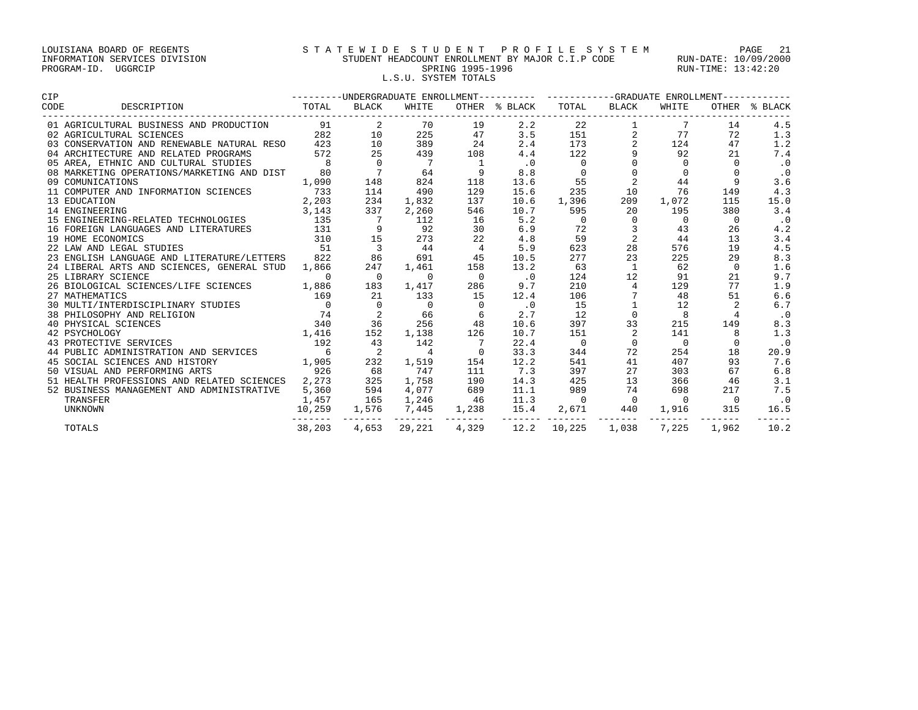## LOUISIANA BOARD OF REGENTS S T A T E W I D E S T U D E N T P R O F I L E S Y S T E M PAGE 21 INFORMATION SERVICES DIVISION STUDENT HEADCOUNT ENROLLMENT BY MAJOR C.I.P CODE RUN-DATE: 10/09/2000 PROGRAM-ID. UGGRCIP SPRING 1995-1996 SPRING 1995-1996 RUN-TIME: 13:42:20 L.S.U. SYSTEM TOTALS

| <b>CIP</b>                                       |                 |                          |                         |                |                             | ---------UNDERGRADUATE ENROLLMENT---------- ----------GRADUATE ENROLLMENT----------- |                |                |              |               |
|--------------------------------------------------|-----------------|--------------------------|-------------------------|----------------|-----------------------------|--------------------------------------------------------------------------------------|----------------|----------------|--------------|---------------|
| CODE<br>DESCRIPTION                              | TOTAL           | BLACK                    | WHITE                   |                | OTHER % BLACK               | TOTAL                                                                                | BLACK          | WHITE          |              | OTHER % BLACK |
| 01 AGRICULTURAL BUSINESS AND PRODUCTION          | 91              | 2                        | 70                      | 19             | 2.2                         | 22                                                                                   |                | 7              | 14           | 4.5           |
| 02 AGRICULTURAL SCIENCES                         | 282             | 10                       | 225                     | 47             | 3.5                         | 151<br>173                                                                           |                | 77             | 72           | 1.3           |
| 03 CONSERVATION AND RENEWABLE NATURAL RESO 423   |                 | 10                       | 389                     | 24             | 2.4                         |                                                                                      | $\overline{a}$ | 124            | 47           | 1.2           |
| 04 ARCHITECTURE AND RELATED PROGRAMS             | 572             | 25                       | 439                     | 108            | 4.4                         | 122                                                                                  | 9              | 92             | 21           | 7.4           |
| 05 AREA, ETHNIC AND CULTURAL STUDIES             | 8               | $\overline{0}$           | $\overline{7}$          |                | $\cdot$ 0                   | $\overline{0}$                                                                       |                | $\overline{0}$ | $\mathbf{0}$ | $\cdot$ 0     |
| 08 MARKETING OPERATIONS/MARKETING AND DIST       | 80              | $\overline{7}$           | 64                      | 9              | 8.8                         | $\overline{0}$                                                                       | $\mathbf 0$    | $\Omega$       | $\Omega$     | $\cdot$ 0     |
| 09 COMUNICATIONS                                 | 1,090           | 148                      | 824                     | 118            | 13.6                        | 55                                                                                   | 2              | 44             | 9            | 3.6           |
| 11 COMPUTER AND INFORMATION SCIENCES             | 733             | 114                      | 490                     | 129            | 15.6                        | 235                                                                                  | 10             | 76             | 149          | 4.3           |
| 13 EDUCATION                                     | 2,203           | 234                      | 1,832                   | 137            | 10.6                        | 1,396                                                                                | 209            | 1,072          | 115          | 15.0          |
| 14 ENGINEERING                                   | 3,143           | 337                      | 2,260                   | 546            | 10.7                        | 595                                                                                  | 20             | 195            | 380          | 3.4           |
| 15 ENGINEERING-RELATED TECHNOLOGIES              | 135             | $\overline{7}$           | 112                     | 16             | 5.2                         | $\overline{0}$                                                                       | $\Omega$       | $\Omega$       | $\Omega$     | $\cdot$ 0     |
| 16 FOREIGN LANGUAGES AND LITERATURES             | 131             | 9                        | 92                      | 30             | 6.9                         | 72                                                                                   | 3              | 43             | 26           | 4.2           |
| 19 HOME ECONOMICS                                | 310             | 15                       | 273                     | 22             | 4.8                         | 59                                                                                   | 2              | 44             | 13           | 3.4           |
| 22 LAW AND LEGAL STUDIES                         | 51              | $\overline{\phantom{a}}$ | 44                      | $\overline{4}$ | 5.9                         | 623                                                                                  | 28             | 576            | 19           | 4.5           |
| 23 ENGLISH LANGUAGE AND LITERATURE/LETTERS 822   |                 | 86                       | 691                     | 45             | 10.5                        | 277                                                                                  | 23             | 225            | 29           | 8.3           |
| 24 LIBERAL ARTS AND SCIENCES, GENERAL STUD 1,866 |                 | 247                      | 1,461                   | 158            | 13.2                        | 63                                                                                   | 1              | 62             | $\Omega$     | 1.6           |
| 25 LIBRARY SCIENCE                               | $\mathbf 0$     | $\overline{0}$           | $\overline{0}$          | $\overline{0}$ | $\overline{\phantom{0}}$ .0 | 124                                                                                  | 12             | 91             | 21           | 9.7           |
| 26 BIOLOGICAL SCIENCES/LIFE SCIENCES 1,886       |                 | 183                      | 1,417                   | 286            | 9.7                         | 210                                                                                  | $\overline{4}$ | 129            | 77           | 1.9           |
| 27 MATHEMATICS                                   | 169             | 21                       | 133                     | 15             | 12.4                        | 106                                                                                  |                | 48             | 51           | 6.6           |
|                                                  |                 | $\overline{0}$           | $\overline{0}$          | $\overline{0}$ | $\cdot$ 0                   | 15                                                                                   |                | 12             |              | 6.7           |
|                                                  |                 | $\overline{2}$           | 66                      | 6              | 2.7                         | 12                                                                                   | $\Omega$       | 8              | 4            | $\cdot$ 0     |
|                                                  |                 | 36                       | 256                     | 48             | 10.6                        | 397                                                                                  | 33             | 215            | 149          | 8.3           |
|                                                  |                 | 152                      | 1,138                   | 126            | 10.7                        | 151                                                                                  | 2              | 141            | 8            | 1.3           |
|                                                  |                 | 43                       | 142                     |                | 22.4                        | $\overline{0}$                                                                       | $\mathbf 0$    | $\overline{0}$ | $\Omega$     | $\cdot$ 0     |
| 44 PUBLIC ADMINISTRATION AND SERVICES            | $6\overline{6}$ | $\overline{\phantom{a}}$ | $\overline{4}$          | $\Omega$       | 33.3                        | 344                                                                                  | 72             | 254            | 18           | 20.9          |
| 45 SOCIAL SCIENCES AND HISTORY                   | 1,905           | 232                      | 1,519                   | 154            | 12.2                        | 541                                                                                  | 41             | 407            | 93           | 7.6           |
| 50 VISUAL AND PERFORMING ARTS                    | 926             | 68                       | 747                     | 111            | 7.3                         | 397                                                                                  | 27             | 303            | 67           | 6.8           |
| 51 HEALTH PROFESSIONS AND RELATED SCIENCES       | 2,273           | 325                      | 1,758                   | 190            | 14.3                        | 425                                                                                  | 13             | 366            | 46           | 3.1           |
| 52 BUSINESS MANAGEMENT AND ADMINISTRATIVE        | 5,360           | 594                      | 4,077                   | 689            | 11.1                        | 989                                                                                  | 74             | 698            | 217          | 7.5           |
| TRANSFER                                         | 1,457           | 165                      | 1,246                   | 46             | 11.3                        | $\overline{0}$                                                                       | $\Omega$       | $\overline{0}$ | $\Omega$     | $\cdot$ 0     |
| UNKNOWN                                          | 10,259          | 1,576                    | 7,445                   | 1,238          | 15.4                        | 2,671                                                                                | 440            | 1,916          | 315          | 16.5          |
| <b>TOTALS</b>                                    | 38,203          |                          | -------<br>4,653 29,221 | 4,329          | 12.2                        | 10,225                                                                               | 1,038          | 7,225          | 1,962        | 10.2          |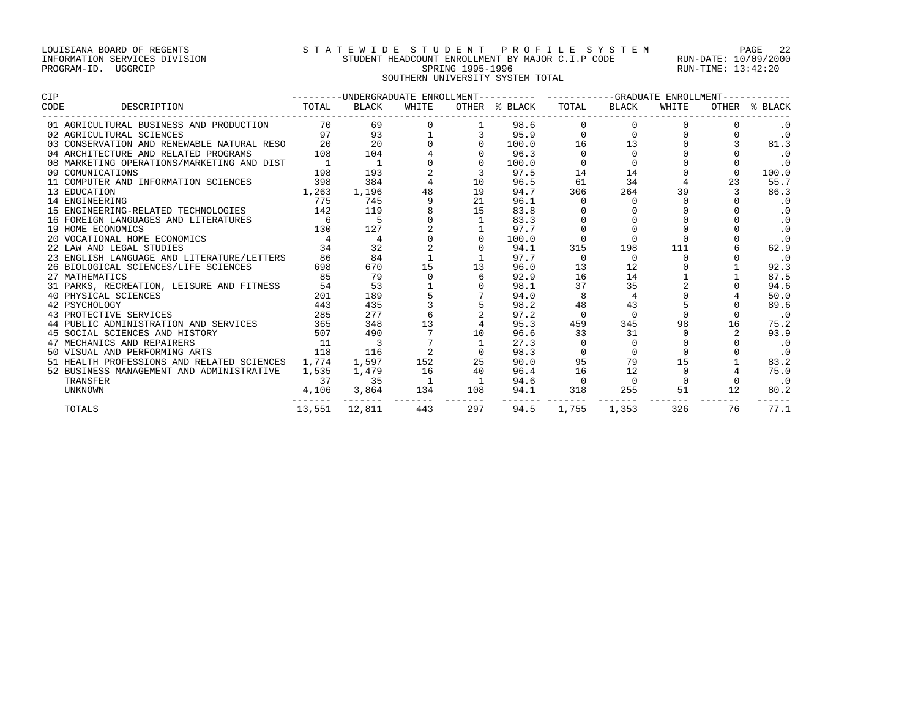## LOUISIANA BOARD OF REGENTS STATEWIDE STUDENT PROFILE SYSTEM PAGE 22 INFORMATION SERVICES DIVISION STUDENT HEADCOUNT ENROLLMENT BY MAJOR C.I.P CODE RUN-DATE: 10/09/2000 PROGRAM-ID. UGGRCIP SPRING 1995-1996 SPRING 1995-1996 RUN-TIME: 13:42:20 SOUTHERN UNIVERSITY SYSTEM TOTAL

| <b>CIP</b> |                                                                                 | --------UNDERGRADUATE ENROLLMENT---------- ----------GRADUATE ENROLLMENT------- |                                |             |                |                           |                   |                |                |    |               |  |
|------------|---------------------------------------------------------------------------------|---------------------------------------------------------------------------------|--------------------------------|-------------|----------------|---------------------------|-------------------|----------------|----------------|----|---------------|--|
| CODE       | <b>Example 2018</b> TOTAL<br>DESCRIPTION                                        |                                                                                 | BLACK                          | WHITE       |                | OTHER % BLACK TOTAL BLACK |                   |                | WHITE          |    | OTHER % BLACK |  |
|            | 01 AGRICULTURAL BUSINESS AND PRODUCTION 70                                      |                                                                                 | 69                             |             |                | 98.6                      |                   |                |                |    |               |  |
|            | 02 AGRICULTURAL SCIENCES                                                        |                                                                                 | $\frac{1}{97}$ $\frac{93}{20}$ |             |                | 95.9                      | $\Omega$          |                |                |    | $\cdot$ 0     |  |
|            | 03 CONSERVATION AND RENEWABLE NATURAL RESO                                      |                                                                                 |                                |             |                | 100.0                     | 16                | 13             |                |    | 81.3          |  |
|            | 04 ARCHITECTURE AND RELATED PROGRAMS                                            | 108                                                                             | 104                            |             |                | 96.3                      | $\Omega$          | $\cap$         |                |    | .0            |  |
|            | 08 MARKETING OPERATIONS/MARKETING AND DIST                                      |                                                                                 | $\overline{1}$                 |             |                | 100.0                     |                   |                |                |    | $\cdot$ 0     |  |
|            | 09 COMUNICATIONS                                                                | 198                                                                             | 193                            |             |                | 97.5                      | 14                | 14             |                |    | 100.0         |  |
|            | 11 COMPUTER AND INFORMATION SCIENCES                                            | 398                                                                             | 384                            |             | 10             | 96.5                      | 61                | 34             |                | 23 | 55.7          |  |
|            | 13 EDUCATION                                                                    | 1,263                                                                           | 1,196                          | 48          | 19             | 94.7                      | 306               | 264            | 39             |    | 86.3          |  |
|            | 14 ENGINEERING                                                                  | 775                                                                             | 745                            | 9           | 21             | 96.1                      | $\Omega$          | $\Omega$       | $\Omega$       |    | $\cdot$ 0     |  |
|            | 15 ENGINEERING-RELATED TECHNOLOGIES 142                                         |                                                                                 | 119                            |             | 15             | 83.8                      |                   |                |                |    | $\cdot$ 0     |  |
|            | 16 FOREIGN LANGUAGES AND LITERATURES                                            | $6\overline{6}$                                                                 |                                |             |                | 83.3                      |                   |                |                |    | $\cdot$ 0     |  |
|            | 19 HOME ECONOMICS                                                               | 130                                                                             | 127                            |             |                | 97.7                      |                   |                |                |    | $\cdot$ 0     |  |
|            | 20 VOCATIONAL HOME ECONOMICS                                                    |                                                                                 | $\overline{4}$                 |             |                | 100.0                     |                   |                |                |    | $\cdot$ 0     |  |
|            | 22 LAW AND LEGAL STUDIES                                                        | 34                                                                              | 32                             |             |                | 94.1                      | 315               | 198            | 111            |    | 62.9          |  |
|            | 23 ENGLISH LANGUAGE AND LITERATURE/LETTERS                                      | 86                                                                              | 84                             |             |                | 97.7                      |                   | $\Omega$       | $\Omega$       |    | $\cdot$ 0     |  |
|            | 26 BIOLOGICAL SCIENCES/LIFE SCIENCES                                            | 698                                                                             | 670                            | 15          | 13             | 96.0                      | 13                | 12             |                |    | 92.3          |  |
|            | 27 MATHEMATICS                                                                  | 85                                                                              | 79                             | $\mathbf 0$ | 6              | 92.9                      | 16                | 14             |                |    | 87.5          |  |
|            | 31 PARKS, RECREATION, LEISURE AND FITNESS                                       | 54                                                                              | 53                             |             |                | 98.1                      | 37                | 35             | $\overline{a}$ |    | 94.6          |  |
|            | 40 PHYSICAL SCIENCES                                                            | 201                                                                             | 189                            |             |                | 94.0                      | 8                 | $\overline{4}$ |                |    | 50.0          |  |
|            | 42 PSYCHOLOGY                                                                   | 443                                                                             | 435                            |             |                | 98.2                      | 48                | 43             |                |    | 89.6          |  |
|            | 43 PROTECTIVE SERVICES                                                          | 285                                                                             | 277                            |             |                | 97.2                      | $\Omega$          |                |                |    | $\cdot$ 0     |  |
|            | 44 PUBLIC ADMINISTRATION AND SERVICES 365<br>45 SOCIAL SCIENCES AND HISTORY 507 |                                                                                 | 348                            | 13          |                | 95.3                      | 459               | 345            | 98             | 16 | 75.2          |  |
|            |                                                                                 | 507                                                                             | 490                            |             | 10             | 96.6                      | 33                | 31             |                |    | 93.9          |  |
|            | 47 MECHANICS AND REPAIRERS                                                      | 11                                                                              | $\overline{\phantom{a}}$       |             |                | 27.3                      |                   |                |                |    | $\cdot$ 0     |  |
|            | 50 VISUAL AND PERFORMING ARTS                                                   | 118                                                                             | 116                            |             |                | 98.3                      |                   |                |                |    | $\cdot$ 0     |  |
|            | 51 HEALTH PROFESSIONS AND RELATED SCIENCES 1,774                                |                                                                                 | 1,597                          | 152         | 25             | 90.0                      | 95                | 79             | 15             |    | 83.2          |  |
|            | 52 BUSINESS MANAGEMENT AND ADMINISTRATIVE                                       | 1,535                                                                           | 1,479                          | 16          | 40             | 96.4                      | 16                | 12             |                |    | 75.0          |  |
|            | TRANSFER                                                                        | 37                                                                              | 35                             |             | $\overline{1}$ | 94.6                      | $\overline{0}$    | $\Omega$       |                |    | $\cdot$ 0     |  |
|            | UNKNOWN                                                                         | 4,106                                                                           | 3,864                          | 134         | 108            | 94.1                      | 318<br>. <b>.</b> | 255            | 51             | 12 | 80.2          |  |
|            | TOTALS                                                                          |                                                                                 | 13,551 12,811                  | 443         | 297            | 94.5                      | 1,755             | 1,353          | 326            | 76 | 77.1          |  |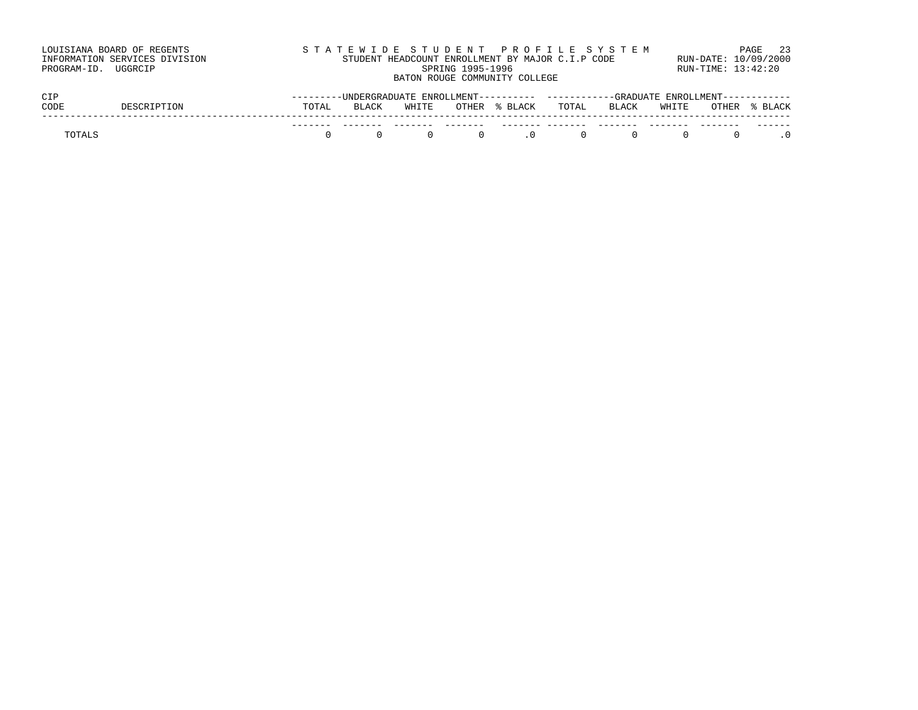| LOUISIANA BOARD OF REGENTS<br>INFORMATION SERVICES DIVISION<br>PROGRAM-ID. UGGRCIP | STATEWIDE STUDENT PROFILE SYSTEM<br>STUDENT HEADCOUNT ENROLLMENT BY MAJOR C.I.P CODE<br>SPRING 1995-1996<br>BATON ROUGE COMMUNITY COLLEGE | PAGE 23<br>RUN-DATE: 10/09/2000<br>RUN-TIME: 13:42:20 |
|------------------------------------------------------------------------------------|-------------------------------------------------------------------------------------------------------------------------------------------|-------------------------------------------------------|
| CIP                                                                                | ---------UNDERGRADUATE ENROLLMENT---------- ----------GRADUATE ENROLLMENT-----------                                                      |                                                       |

| ◡∸            | UNDERURPORIE ENROLLENI |       |              |       |         | URTUURILE ENROLLENIU |       |       |       |       |       |
|---------------|------------------------|-------|--------------|-------|---------|----------------------|-------|-------|-------|-------|-------|
| CODE          |                        | TOTAL | <b>BLACK</b> | WHITE | OTHER   | % BLACK              | TOTAL | BLACK | WHITE | OTHER | BLACK |
|               |                        |       |              |       | . — — — |                      |       |       |       | ----  | ----  |
| <b>POTALS</b> |                        |       |              |       |         |                      |       |       |       |       |       |